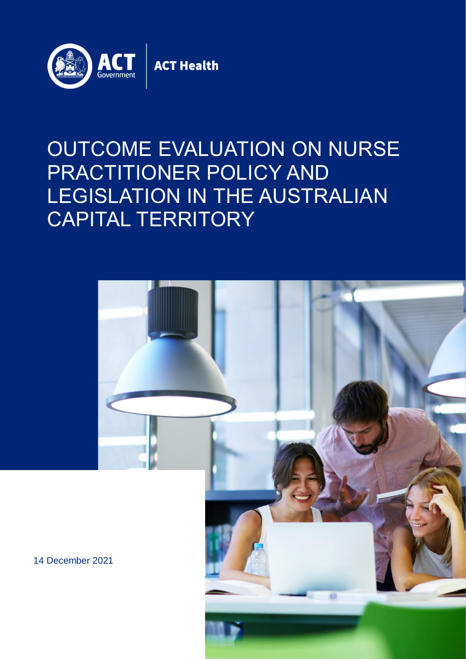

#### OUTCOME EVALUATION ON NURSE PRACTITIONER POLICY AND CAPITAL TERRITORY LEGISLATION IN THE AUSTRALIAN CAPITAL TERRITORY



14 December 2021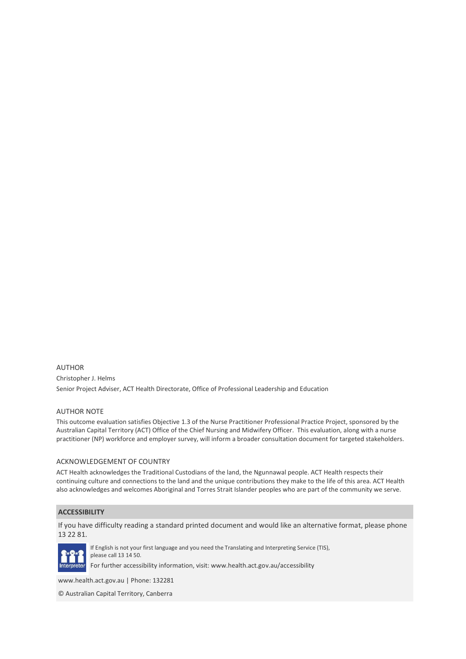AUTHOR Christopher J. Helms Senior Project Adviser, ACT Health Directorate, Office of Professional Leadership and Education

#### AUTHOR NOTE

This outcome evaluation satisfies Objective 1.3 of the Nurse Practitioner Professional Practice Project, sponsored by the Australian Capital Territory (ACT) Office of the Chief Nursing and Midwifery Officer. This evaluation, along with a nurse practitioner (NP) workforce and employer survey, will inform a broader consultation document for targeted stakeholders.

#### ACKNOWLEDGEMENT OF COUNTRY

ACT Health acknowledges the Traditional Custodians of the land, the Ngunnawal people. ACT Health respects their continuing culture and connections to the land and the unique contributions they make to the life of this area. ACT Health also acknowledges and welcomes Aboriginal and Torres Strait Islander peoples who are part of the community we serve.

#### **ACCESSIBILITY**

If you have difficulty reading a standard printed document and would like an alternative format, please phone 13 22 81.



If English is not your first language and you need the Translating and Interpreting Service (TIS), please call 13 14 50.

For further accessibility information, visit: www.health.act.gov.au/accessibility

www.health.act.gov.au | Phone: 132281

© Australian Capital Territory, Canberra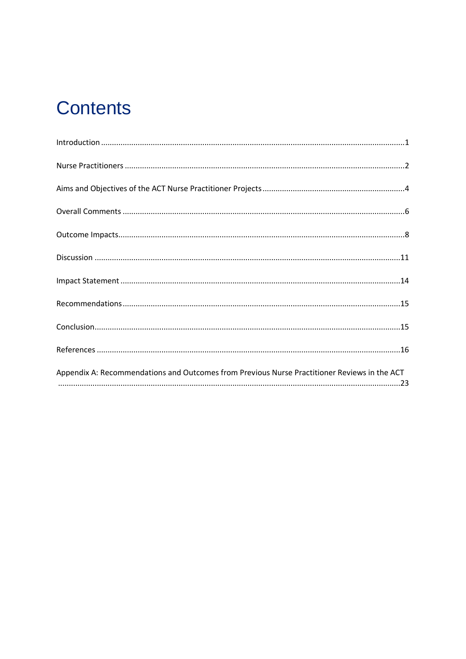### **Contents**

| Appendix A: Recommendations and Outcomes from Previous Nurse Practitioner Reviews in the ACT |
|----------------------------------------------------------------------------------------------|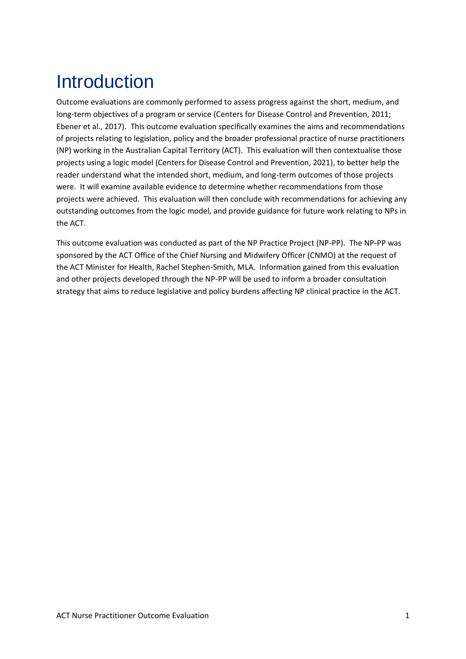# <span id="page-3-0"></span>**Introduction**

Outcome evaluations are commonly performed to assess progress against the short, medium, and long-term objectives of a program or service (Centers for Disease Control and Prevention, 2011; Ebener et al., 2017). This outcome evaluation specifically examines the aims and recommendations of projects relating to legislation, policy and the broader professional practice of nurse practitioners (NP) working in the Australian Capital Territory (ACT). This evaluation will then contextualise those projects using a logic model (Centers for Disease Control and Prevention, 2021), to better help the reader understand what the intended short, medium, and long-term outcomes of those projects were. It will examine available evidence to determine whether recommendations from those projects were achieved. This evaluation will then conclude with recommendations for achieving any outstanding outcomes from the logic model, and provide guidance for future work relating to NPs in the ACT.

This outcome evaluation was conducted as part of the NP Practice Project (NP-PP). The NP-PP was sponsored by the ACT Office of the Chief Nursing and Midwifery Officer (CNMO) at the request of the ACT Minister for Health, Rachel Stephen-Smith, MLA. Information gained from this evaluation and other projects developed through the NP-PP will be used to inform a broader consultation strategy that aims to reduce legislative and policy burdens affecting NP clinical practice in the ACT.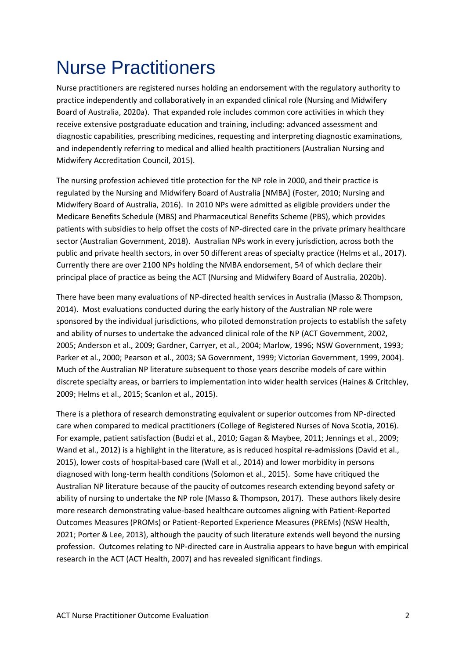### <span id="page-4-0"></span>Nurse Practitioners

Nurse practitioners are registered nurses holding an endorsement with the regulatory authority to practice independently and collaboratively in an expanded clinical role (Nursing and Midwifery Board of Australia, 2020a). That expanded role includes common core activities in which they receive extensive postgraduate education and training, including: advanced assessment and diagnostic capabilities, prescribing medicines, requesting and interpreting diagnostic examinations, and independently referring to medical and allied health practitioners (Australian Nursing and Midwifery Accreditation Council, 2015).

The nursing profession achieved title protection for the NP role in 2000, and their practice is regulated by the Nursing and Midwifery Board of Australia [NMBA] (Foster, 2010; Nursing and Midwifery Board of Australia, 2016). In 2010 NPs were admitted as eligible providers under the Medicare Benefits Schedule (MBS) and Pharmaceutical Benefits Scheme (PBS), which provides patients with subsidies to help offset the costs of NP-directed care in the private primary healthcare sector (Australian Government, 2018). Australian NPs work in every jurisdiction, across both the public and private health sectors, in over 50 different areas of specialty practice (Helms et al., 2017). Currently there are over 2100 NPs holding the NMBA endorsement, 54 of which declare their principal place of practice as being the ACT (Nursing and Midwifery Board of Australia, 2020b).

There have been many evaluations of NP-directed health services in Australia (Masso & Thompson, 2014). Most evaluations conducted during the early history of the Australian NP role were sponsored by the individual jurisdictions, who piloted demonstration projects to establish the safety and ability of nurses to undertake the advanced clinical role of the NP (ACT Government, 2002, 2005; Anderson et al., 2009; Gardner, Carryer, et al., 2004; Marlow, 1996; NSW Government, 1993; Parker et al., 2000; Pearson et al., 2003; SA Government, 1999; Victorian Government, 1999, 2004). Much of the Australian NP literature subsequent to those years describe models of care within discrete specialty areas, or barriers to implementation into wider health services (Haines & Critchley, 2009; Helms et al., 2015; Scanlon et al., 2015).

There is a plethora of research demonstrating equivalent or superior outcomes from NP-directed care when compared to medical practitioners (College of Registered Nurses of Nova Scotia, 2016). For example, patient satisfaction (Budzi et al., 2010; Gagan & Maybee, 2011; Jennings et al., 2009; Wand et al., 2012) is a highlight in the literature, as is reduced hospital re-admissions (David et al., 2015), lower costs of hospital-based care (Wall et al., 2014) and lower morbidity in persons diagnosed with long-term health conditions (Solomon et al., 2015). Some have critiqued the Australian NP literature because of the paucity of outcomes research extending beyond safety or ability of nursing to undertake the NP role (Masso & Thompson, 2017). These authors likely desire more research demonstrating value-based healthcare outcomes aligning with Patient-Reported Outcomes Measures (PROMs) or Patient-Reported Experience Measures (PREMs) (NSW Health, 2021; Porter & Lee, 2013), although the paucity of such literature extends well beyond the nursing profession. Outcomes relating to NP-directed care in Australia appears to have begun with empirical research in the ACT (ACT Health, 2007) and has revealed significant findings.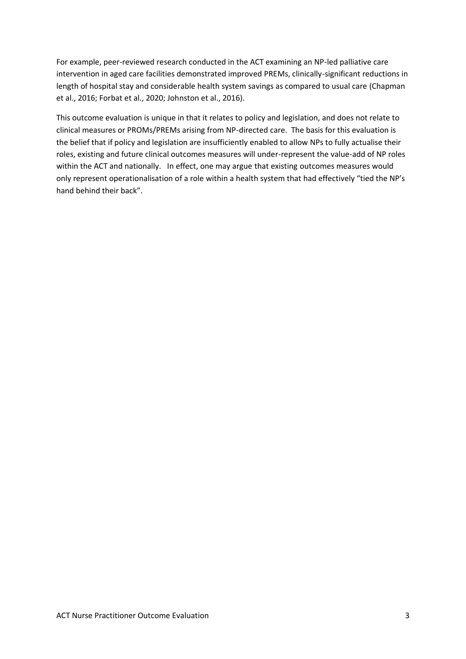For example, peer-reviewed research conducted in the ACT examining an NP-led palliative care intervention in aged care facilities demonstrated improved PREMs, clinically-significant reductions in length of hospital stay and considerable health system savings as compared to usual care (Chapman et al., 2016; Forbat et al., 2020; Johnston et al., 2016).

This outcome evaluation is unique in that it relates to policy and legislation, and does not relate to clinical measures or PROMs/PREMs arising from NP-directed care. The basis for this evaluation is the belief that if policy and legislation are insufficiently enabled to allow NPs to fully actualise their roles, existing and future clinical outcomes measures will under-represent the value-add of NP roles within the ACT and nationally. In effect, one may argue that existing outcomes measures would only represent operationalisation of a role within a health system that had effectively "tied the NP's hand behind their back".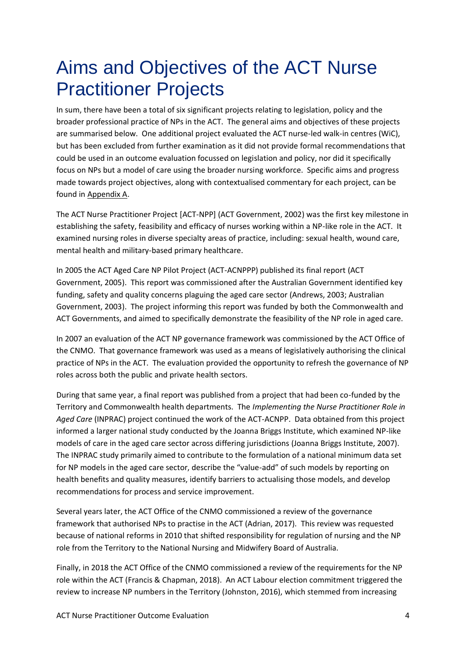#### <span id="page-6-0"></span>Aims and Objectives of the ACT Nurse Practitioner Projects

In sum, there have been a total of six significant projects relating to legislation, policy and the broader professional practice of NPs in the ACT. The general aims and objectives of these projects are summarised below. One additional project evaluated the ACT nurse-led walk-in centres (WiC), but has been excluded from further examination as it did not provide formal recommendations that could be used in an outcome evaluation focussed on legislation and policy, nor did it specifically focus on NPs but a model of care using the broader nursing workforce. Specific aims and progress made towards project objectives, along with contextualised commentary for each project, can be found in Appendix A.

The ACT Nurse Practitioner Project [ACT-NPP] (ACT Government, 2002) was the first key milestone in establishing the safety, feasibility and efficacy of nurses working within a NP-like role in the ACT. It examined nursing roles in diverse specialty areas of practice, including: sexual health, wound care, mental health and military-based primary healthcare.

In 2005 the ACT Aged Care NP Pilot Project (ACT-ACNPPP) published its final report (ACT Government, 2005). This report was commissioned after the Australian Government identified key funding, safety and quality concerns plaguing the aged care sector (Andrews, 2003; Australian Government, 2003). The project informing this report was funded by both the Commonwealth and ACT Governments, and aimed to specifically demonstrate the feasibility of the NP role in aged care.

In 2007 an evaluation of the ACT NP governance framework was commissioned by the ACT Office of the CNMO. That governance framework was used as a means of legislatively authorising the clinical practice of NPs in the ACT. The evaluation provided the opportunity to refresh the governance of NP roles across both the public and private health sectors.

During that same year, a final report was published from a project that had been co-funded by the Territory and Commonwealth health departments. The *Implementing the Nurse Practitioner Role in Aged Care* (INPRAC) project continued the work of the ACT-ACNPP. Data obtained from this project informed a larger national study conducted by the Joanna Briggs Institute, which examined NP-like models of care in the aged care sector across differing jurisdictions (Joanna Briggs Institute, 2007). The INPRAC study primarily aimed to contribute to the formulation of a national minimum data set for NP models in the aged care sector, describe the "value-add" of such models by reporting on health benefits and quality measures, identify barriers to actualising those models, and develop recommendations for process and service improvement.

Several years later, the ACT Office of the CNMO commissioned a review of the governance framework that authorised NPs to practise in the ACT (Adrian, 2017). This review was requested because of national reforms in 2010 that shifted responsibility for regulation of nursing and the NP role from the Territory to the National Nursing and Midwifery Board of Australia.

Finally, in 2018 the ACT Office of the CNMO commissioned a review of the requirements for the NP role within the ACT (Francis & Chapman, 2018). An ACT Labour election commitment triggered the review to increase NP numbers in the Territory (Johnston, 2016), which stemmed from increasing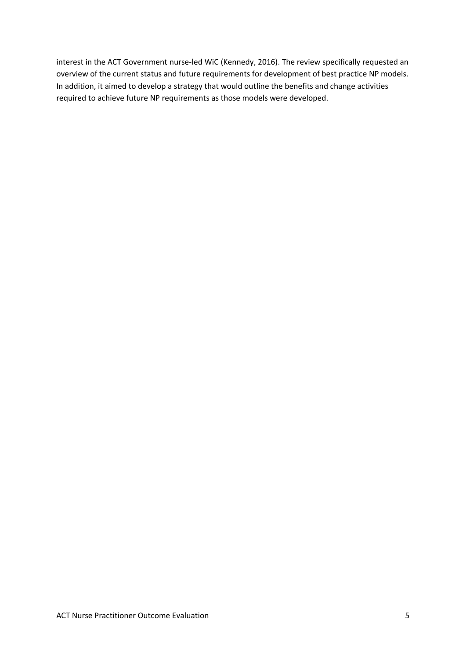interest in the ACT Government nurse-led WiC (Kennedy, 2016). The review specifically requested an overview of the current status and future requirements for development of best practice NP models. In addition, it aimed to develop a strategy that would outline the benefits and change activities required to achieve future NP requirements as those models were developed.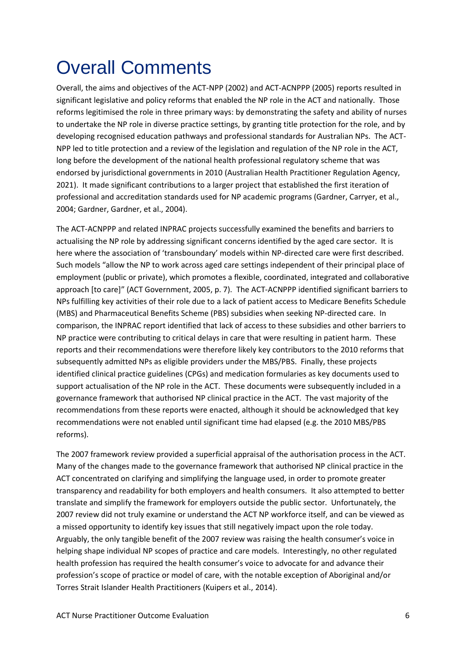# <span id="page-8-0"></span>Overall Comments

Overall, the aims and objectives of the ACT-NPP (2002) and ACT-ACNPPP (2005) reports resulted in significant legislative and policy reforms that enabled the NP role in the ACT and nationally. Those reforms legitimised the role in three primary ways: by demonstrating the safety and ability of nurses to undertake the NP role in diverse practice settings, by granting title protection for the role, and by developing recognised education pathways and professional standards for Australian NPs. The ACT-NPP led to title protection and a review of the legislation and regulation of the NP role in the ACT, long before the development of the national health professional regulatory scheme that was endorsed by jurisdictional governments in 2010 (Australian Health Practitioner Regulation Agency, 2021). It made significant contributions to a larger project that established the first iteration of professional and accreditation standards used for NP academic programs (Gardner, Carryer, et al., 2004; Gardner, Gardner, et al., 2004).

The ACT-ACNPPP and related INPRAC projects successfully examined the benefits and barriers to actualising the NP role by addressing significant concerns identified by the aged care sector. It is here where the association of 'transboundary' models within NP-directed care were first described. Such models "allow the NP to work across aged care settings independent of their principal place of employment (public or private), which promotes a flexible, coordinated, integrated and collaborative approach [to care]" (ACT Government, 2005, p. 7). The ACT-ACNPPP identified significant barriers to NPs fulfilling key activities of their role due to a lack of patient access to Medicare Benefits Schedule (MBS) and Pharmaceutical Benefits Scheme (PBS) subsidies when seeking NP-directed care. In comparison, the INPRAC report identified that lack of access to these subsidies and other barriers to NP practice were contributing to critical delays in care that were resulting in patient harm. These reports and their recommendations were therefore likely key contributors to the 2010 reforms that subsequently admitted NPs as eligible providers under the MBS/PBS. Finally, these projects identified clinical practice guidelines (CPGs) and medication formularies as key documents used to support actualisation of the NP role in the ACT. These documents were subsequently included in a governance framework that authorised NP clinical practice in the ACT. The vast majority of the recommendations from these reports were enacted, although it should be acknowledged that key recommendations were not enabled until significant time had elapsed (e.g. the 2010 MBS/PBS reforms).

The 2007 framework review provided a superficial appraisal of the authorisation process in the ACT. Many of the changes made to the governance framework that authorised NP clinical practice in the ACT concentrated on clarifying and simplifying the language used, in order to promote greater transparency and readability for both employers and health consumers. It also attempted to better translate and simplify the framework for employers outside the public sector. Unfortunately, the 2007 review did not truly examine or understand the ACT NP workforce itself, and can be viewed as a missed opportunity to identify key issues that still negatively impact upon the role today. Arguably, the only tangible benefit of the 2007 review was raising the health consumer's voice in helping shape individual NP scopes of practice and care models. Interestingly, no other regulated health profession has required the health consumer's voice to advocate for and advance their profession's scope of practice or model of care, with the notable exception of Aboriginal and/or Torres Strait Islander Health Practitioners (Kuipers et al., 2014).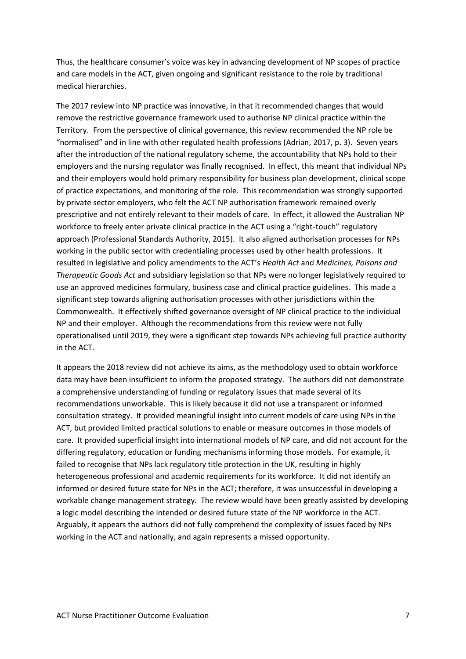Thus, the healthcare consumer's voice was key in advancing development of NP scopes of practice and care models in the ACT, given ongoing and significant resistance to the role by traditional medical hierarchies.

The 2017 review into NP practice was innovative, in that it recommended changes that would remove the restrictive governance framework used to authorise NP clinical practice within the Territory. From the perspective of clinical governance, this review recommended the NP role be "normalised" and in line with other regulated health professions (Adrian, 2017, p. 3). Seven years after the introduction of the national regulatory scheme, the accountability that NPs hold to their employers and the nursing regulator was finally recognised. In effect, this meant that individual NPs and their employers would hold primary responsibility for business plan development, clinical scope of practice expectations, and monitoring of the role. This recommendation was strongly supported by private sector employers, who felt the ACT NP authorisation framework remained overly prescriptive and not entirely relevant to their models of care. In effect, it allowed the Australian NP workforce to freely enter private clinical practice in the ACT using a "right-touch" regulatory approach (Professional Standards Authority, 2015). It also aligned authorisation processes for NPs working in the public sector with credentialing processes used by other health professions. It resulted in legislative and policy amendments to the ACT's *Health Act* and *Medicines, Poisons and Therapeutic Goods Act* and subsidiary legislation so that NPs were no longer legislatively required to use an approved medicines formulary, business case and clinical practice guidelines. This made a significant step towards aligning authorisation processes with other jurisdictions within the Commonwealth. It effectively shifted governance oversight of NP clinical practice to the individual NP and their employer. Although the recommendations from this review were not fully operationalised until 2019, they were a significant step towards NPs achieving full practice authority in the ACT.

It appears the 2018 review did not achieve its aims, as the methodology used to obtain workforce data may have been insufficient to inform the proposed strategy. The authors did not demonstrate a comprehensive understanding of funding or regulatory issues that made several of its recommendations unworkable. This is likely because it did not use a transparent or informed consultation strategy. It provided meaningful insight into current models of care using NPs in the ACT, but provided limited practical solutions to enable or measure outcomes in those models of care. It provided superficial insight into international models of NP care, and did not account for the differing regulatory, education or funding mechanisms informing those models. For example, it failed to recognise that NPs lack regulatory title protection in the UK, resulting in highly heterogeneous professional and academic requirements for its workforce. It did not identify an informed or desired future state for NPs in the ACT; therefore, it was unsuccessful in developing a workable change management strategy. The review would have been greatly assisted by developing a logic model describing the intended or desired future state of the NP workforce in the ACT. Arguably, it appears the authors did not fully comprehend the complexity of issues faced by NPs working in the ACT and nationally, and again represents a missed opportunity.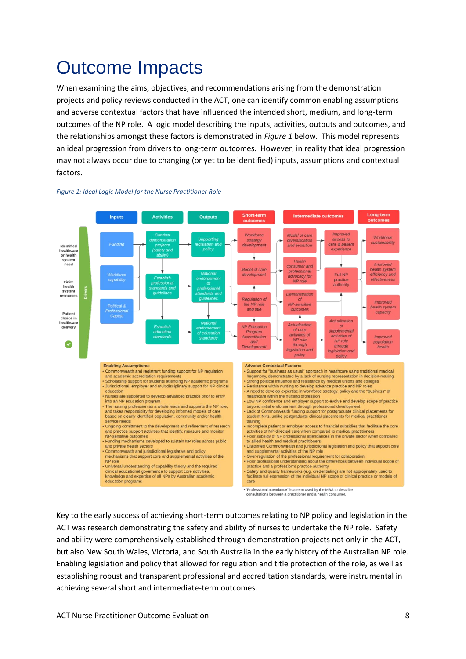### <span id="page-10-0"></span>Outcome Impacts

When examining the aims, objectives, and recommendations arising from the demonstration projects and policy reviews conducted in the ACT, one can identify common enabling assumptions and adverse contextual factors that have influenced the intended short, medium, and long-term outcomes of the NP role. A logic model describing the inputs, activities, outputs and outcomes, and the relationships amongst these factors is demonstrated in *Figure 1* below. This model represents an ideal progression from drivers to long-term outcomes. However, in reality that ideal progression may not always occur due to changing (or yet to be identified) inputs, assumptions and contextual factors.



#### *Figure 1: Ideal Logic Model for the Nurse Practitioner Role*

> 'Professional attendance" is a term used by the MBS to describe<br>consultations between a practitioner and a health consumer.

Key to the early success of achieving short-term outcomes relating to NP policy and legislation in the ACT was research demonstrating the safety and ability of nurses to undertake the NP role. Safety and ability were comprehensively established through demonstration projects not only in the ACT, but also New South Wales, Victoria, and South Australia in the early history of the Australian NP role. Enabling legislation and policy that allowed for regulation and title protection of the role, as well as establishing robust and transparent professional and accreditation standards, were instrumental in achieving several short and intermediate-term outcomes.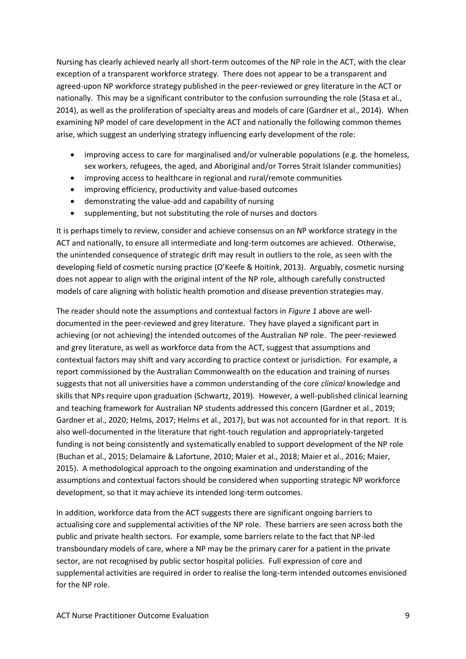Nursing has clearly achieved nearly all short-term outcomes of the NP role in the ACT, with the clear exception of a transparent workforce strategy. There does not appear to be a transparent and agreed-upon NP workforce strategy published in the peer-reviewed or grey literature in the ACT or nationally. This may be a significant contributor to the confusion surrounding the role (Stasa et al., 2014), as well as the proliferation of specialty areas and models of care (Gardner et al., 2014). When examining NP model of care development in the ACT and nationally the following common themes arise, which suggest an underlying strategy influencing early development of the role:

- improving access to care for marginalised and/or vulnerable populations (e.g. the homeless, sex workers, refugees, the aged, and Aboriginal and/or Torres Strait Islander communities)
- improving access to healthcare in regional and rural/remote communities
- improving efficiency, productivity and value-based outcomes
- demonstrating the value-add and capability of nursing
- supplementing, but not substituting the role of nurses and doctors

It is perhaps timely to review, consider and achieve consensus on an NP workforce strategy in the ACT and nationally, to ensure all intermediate and long-term outcomes are achieved. Otherwise, the unintended consequence of strategic drift may result in outliers to the role, as seen with the developing field of cosmetic nursing practice (O'Keefe & Hoitink, 2013). Arguably, cosmetic nursing does not appear to align with the original intent of the NP role, although carefully constructed models of care aligning with holistic health promotion and disease prevention strategies may.

The reader should note the assumptions and contextual factors in *Figure 1* above are welldocumented in the peer-reviewed and grey literature. They have played a significant part in achieving (or not achieving) the intended outcomes of the Australian NP role. The peer-reviewed and grey literature, as well as workforce data from the ACT, suggest that assumptions and contextual factors may shift and vary according to practice context or jurisdiction. For example, a report commissioned by the Australian Commonwealth on the education and training of nurses suggests that not all universities have a common understanding of the core *clinical* knowledge and skills that NPs require upon graduation (Schwartz, 2019). However, a well-published clinical learning and teaching framework for Australian NP students addressed this concern (Gardner et al., 2019; Gardner et al., 2020; Helms, 2017; Helms et al., 2017), but was not accounted for in that report. It is also well-documented in the literature that right-touch regulation and appropriately-targeted funding is not being consistently and systematically enabled to support development of the NP role (Buchan et al., 2015; Delamaire & Lafortune, 2010; Maier et al., 2018; Maier et al., 2016; Maier, 2015). A methodological approach to the ongoing examination and understanding of the assumptions and contextual factors should be considered when supporting strategic NP workforce development, so that it may achieve its intended long-term outcomes.

In addition, workforce data from the ACT suggests there are significant ongoing barriers to actualising core and supplemental activities of the NP role. These barriers are seen across both the public and private health sectors. For example, some barriers relate to the fact that NP-led transboundary models of care, where a NP may be the primary carer for a patient in the private sector, are not recognised by public sector hospital policies. Full expression of core and supplemental activities are required in order to realise the long-term intended outcomes envisioned for the NP role.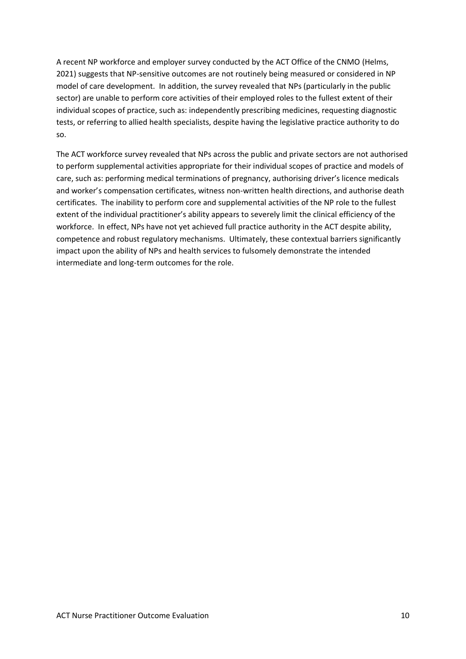A recent NP workforce and employer survey conducted by the ACT Office of the CNMO (Helms, 2021) suggests that NP-sensitive outcomes are not routinely being measured or considered in NP model of care development. In addition, the survey revealed that NPs (particularly in the public sector) are unable to perform core activities of their employed roles to the fullest extent of their individual scopes of practice, such as: independently prescribing medicines, requesting diagnostic tests, or referring to allied health specialists, despite having the legislative practice authority to do so.

The ACT workforce survey revealed that NPs across the public and private sectors are not authorised to perform supplemental activities appropriate for their individual scopes of practice and models of care, such as: performing medical terminations of pregnancy, authorising driver's licence medicals and worker's compensation certificates, witness non-written health directions, and authorise death certificates. The inability to perform core and supplemental activities of the NP role to the fullest extent of the individual practitioner's ability appears to severely limit the clinical efficiency of the workforce. In effect, NPs have not yet achieved full practice authority in the ACT despite ability, competence and robust regulatory mechanisms. Ultimately, these contextual barriers significantly impact upon the ability of NPs and health services to fulsomely demonstrate the intended intermediate and long-term outcomes for the role.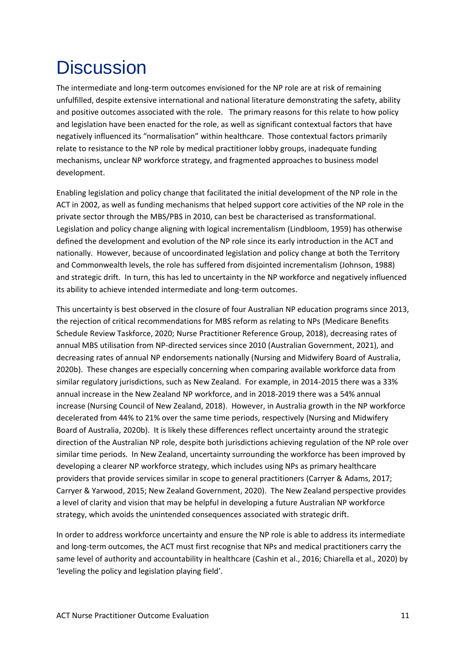### <span id="page-13-0"></span>**Discussion**

The intermediate and long-term outcomes envisioned for the NP role are at risk of remaining unfulfilled, despite extensive international and national literature demonstrating the safety, ability and positive outcomes associated with the role. The primary reasons for this relate to how policy and legislation have been enacted for the role, as well as significant contextual factors that have negatively influenced its "normalisation" within healthcare. Those contextual factors primarily relate to resistance to the NP role by medical practitioner lobby groups, inadequate funding mechanisms, unclear NP workforce strategy, and fragmented approaches to business model development.

Enabling legislation and policy change that facilitated the initial development of the NP role in the ACT in 2002, as well as funding mechanisms that helped support core activities of the NP role in the private sector through the MBS/PBS in 2010, can best be characterised as transformational. Legislation and policy change aligning with logical incrementalism (Lindbloom, 1959) has otherwise defined the development and evolution of the NP role since its early introduction in the ACT and nationally. However, because of uncoordinated legislation and policy change at both the Territory and Commonwealth levels, the role has suffered from disjointed incrementalism (Johnson, 1988) and strategic drift. In turn, this has led to uncertainty in the NP workforce and negatively influenced its ability to achieve intended intermediate and long-term outcomes.

This uncertainty is best observed in the closure of four Australian NP education programs since 2013, the rejection of critical recommendations for MBS reform as relating to NPs (Medicare Benefits Schedule Review Taskforce, 2020; Nurse Practitioner Reference Group, 2018), decreasing rates of annual MBS utilisation from NP-directed services since 2010 (Australian Government, 2021), and decreasing rates of annual NP endorsements nationally (Nursing and Midwifery Board of Australia, 2020b). These changes are especially concerning when comparing available workforce data from similar regulatory jurisdictions, such as New Zealand. For example, in 2014-2015 there was a 33% annual increase in the New Zealand NP workforce, and in 2018-2019 there was a 54% annual increase (Nursing Council of New Zealand, 2018). However, in Australia growth in the NP workforce decelerated from 44% to 21% over the same time periods, respectively (Nursing and Midwifery Board of Australia, 2020b). It is likely these differences reflect uncertainty around the strategic direction of the Australian NP role, despite both jurisdictions achieving regulation of the NP role over similar time periods. In New Zealand, uncertainty surrounding the workforce has been improved by developing a clearer NP workforce strategy, which includes using NPs as primary healthcare providers that provide services similar in scope to general practitioners (Carryer & Adams, 2017; Carryer & Yarwood, 2015; New Zealand Government, 2020). The New Zealand perspective provides a level of clarity and vision that may be helpful in developing a future Australian NP workforce strategy, which avoids the unintended consequences associated with strategic drift.

In order to address workforce uncertainty and ensure the NP role is able to address its intermediate and long-term outcomes, the ACT must first recognise that NPs and medical practitioners carry the same level of authority and accountability in healthcare (Cashin et al., 2016; Chiarella et al., 2020) by 'leveling the policy and legislation playing field'.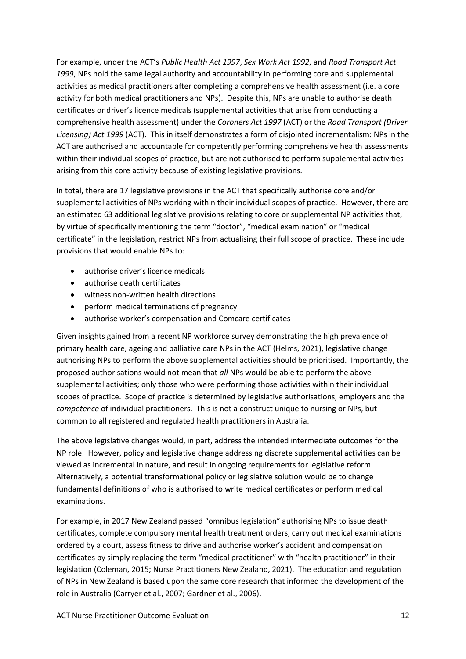For example, under the ACT's *Public Health Act 1997*, *Sex Work Act 1992*, and *Road Transport Act 1999*, NPs hold the same legal authority and accountability in performing core and supplemental activities as medical practitioners after completing a comprehensive health assessment (i.e. a core activity for both medical practitioners and NPs). Despite this, NPs are unable to authorise death certificates or driver's licence medicals (supplemental activities that arise from conducting a comprehensive health assessment) under the *Coroners Act 1997* (ACT) or the *Road Transport (Driver Licensing) Act 1999* (ACT). This in itself demonstrates a form of disjointed incrementalism: NPs in the ACT are authorised and accountable for competently performing comprehensive health assessments within their individual scopes of practice, but are not authorised to perform supplemental activities arising from this core activity because of existing legislative provisions.

In total, there are 17 legislative provisions in the ACT that specifically authorise core and/or supplemental activities of NPs working within their individual scopes of practice. However, there are an estimated 63 additional legislative provisions relating to core or supplemental NP activities that, by virtue of specifically mentioning the term "doctor", "medical examination" or "medical certificate" in the legislation, restrict NPs from actualising their full scope of practice. These include provisions that would enable NPs to:

- authorise driver's licence medicals
- authorise death certificates
- witness non-written health directions
- perform medical terminations of pregnancy
- authorise worker's compensation and Comcare certificates

Given insights gained from a recent NP workforce survey demonstrating the high prevalence of primary health care, ageing and palliative care NPs in the ACT (Helms, 2021), legislative change authorising NPs to perform the above supplemental activities should be prioritised. Importantly, the proposed authorisations would not mean that *all* NPs would be able to perform the above supplemental activities; only those who were performing those activities within their individual scopes of practice. Scope of practice is determined by legislative authorisations, employers and the *competence* of individual practitioners. This is not a construct unique to nursing or NPs, but common to all registered and regulated health practitioners in Australia.

The above legislative changes would, in part, address the intended intermediate outcomes for the NP role. However, policy and legislative change addressing discrete supplemental activities can be viewed as incremental in nature, and result in ongoing requirements for legislative reform. Alternatively, a potential transformational policy or legislative solution would be to change fundamental definitions of who is authorised to write medical certificates or perform medical examinations.

For example, in 2017 New Zealand passed "omnibus legislation" authorising NPs to issue death certificates, complete compulsory mental health treatment orders, carry out medical examinations ordered by a court, assess fitness to drive and authorise worker's accident and compensation certificates by simply replacing the term "medical practitioner" with "health practitioner" in their legislation (Coleman, 2015; Nurse Practitioners New Zealand, 2021). The education and regulation of NPs in New Zealand is based upon the same core research that informed the development of the role in Australia (Carryer et al., 2007; Gardner et al., 2006).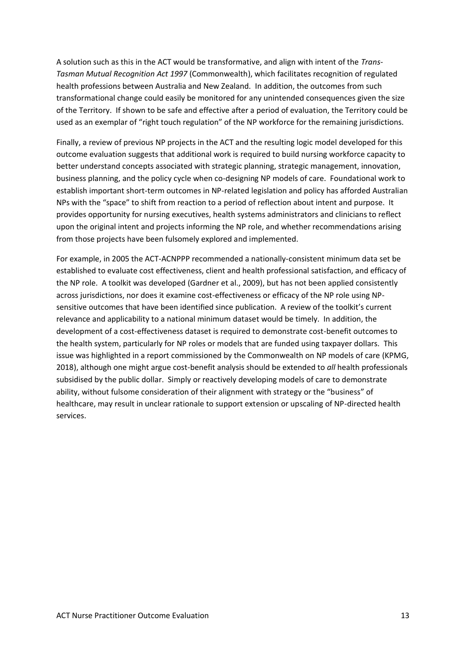A solution such as this in the ACT would be transformative, and align with intent of the *Trans-Tasman Mutual Recognition Act 1997* (Commonwealth), which facilitates recognition of regulated health professions between Australia and New Zealand. In addition, the outcomes from such transformational change could easily be monitored for any unintended consequences given the size of the Territory. If shown to be safe and effective after a period of evaluation, the Territory could be used as an exemplar of "right touch regulation" of the NP workforce for the remaining jurisdictions.

Finally, a review of previous NP projects in the ACT and the resulting logic model developed for this outcome evaluation suggests that additional work is required to build nursing workforce capacity to better understand concepts associated with strategic planning, strategic management, innovation, business planning, and the policy cycle when co-designing NP models of care. Foundational work to establish important short-term outcomes in NP-related legislation and policy has afforded Australian NPs with the "space" to shift from reaction to a period of reflection about intent and purpose. It provides opportunity for nursing executives, health systems administrators and clinicians to reflect upon the original intent and projects informing the NP role, and whether recommendations arising from those projects have been fulsomely explored and implemented.

For example, in 2005 the ACT-ACNPPP recommended a nationally-consistent minimum data set be established to evaluate cost effectiveness, client and health professional satisfaction, and efficacy of the NP role. A toolkit was developed (Gardner et al., 2009), but has not been applied consistently across jurisdictions, nor does it examine cost-effectiveness or efficacy of the NP role using NPsensitive outcomes that have been identified since publication. A review of the toolkit's current relevance and applicability to a national minimum dataset would be timely. In addition, the development of a cost-effectiveness dataset is required to demonstrate cost-benefit outcomes to the health system, particularly for NP roles or models that are funded using taxpayer dollars. This issue was highlighted in a report commissioned by the Commonwealth on NP models of care (KPMG, 2018), although one might argue cost-benefit analysis should be extended to *all* health professionals subsidised by the public dollar. Simply or reactively developing models of care to demonstrate ability, without fulsome consideration of their alignment with strategy or the "business" of healthcare, may result in unclear rationale to support extension or upscaling of NP-directed health services.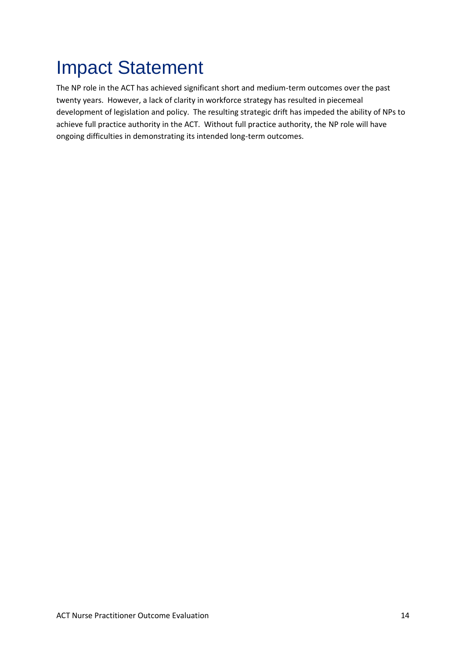# <span id="page-16-0"></span>Impact Statement

The NP role in the ACT has achieved significant short and medium-term outcomes over the past twenty years. However, a lack of clarity in workforce strategy has resulted in piecemeal development of legislation and policy. The resulting strategic drift has impeded the ability of NPs to achieve full practice authority in the ACT. Without full practice authority, the NP role will have ongoing difficulties in demonstrating its intended long-term outcomes.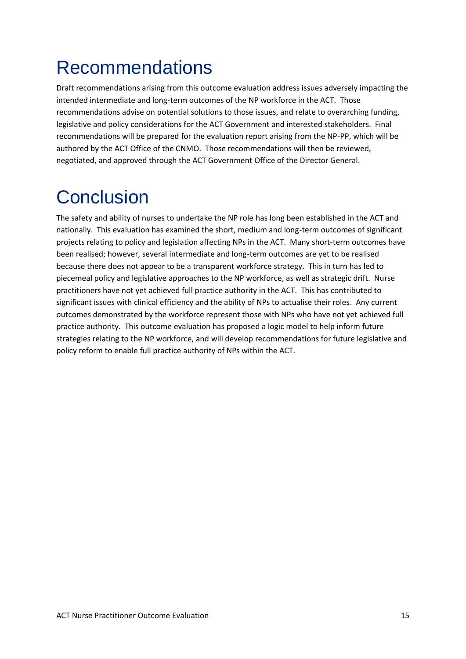### <span id="page-17-0"></span>Recommendations

Draft recommendations arising from this outcome evaluation address issues adversely impacting the intended intermediate and long-term outcomes of the NP workforce in the ACT. Those recommendations advise on potential solutions to those issues, and relate to overarching funding, legislative and policy considerations for the ACT Government and interested stakeholders. Final recommendations will be prepared for the evaluation report arising from the NP-PP, which will be authored by the ACT Office of the CNMO. Those recommendations will then be reviewed, negotiated, and approved through the ACT Government Office of the Director General.

### <span id="page-17-1"></span>**Conclusion**

The safety and ability of nurses to undertake the NP role has long been established in the ACT and nationally. This evaluation has examined the short, medium and long-term outcomes of significant projects relating to policy and legislation affecting NPs in the ACT. Many short-term outcomes have been realised; however, several intermediate and long-term outcomes are yet to be realised because there does not appear to be a transparent workforce strategy. This in turn has led to piecemeal policy and legislative approaches to the NP workforce, as well as strategic drift. Nurse practitioners have not yet achieved full practice authority in the ACT. This has contributed to significant issues with clinical efficiency and the ability of NPs to actualise their roles. Any current outcomes demonstrated by the workforce represent those with NPs who have not yet achieved full practice authority. This outcome evaluation has proposed a logic model to help inform future strategies relating to the NP workforce, and will develop recommendations for future legislative and policy reform to enable full practice authority of NPs within the ACT.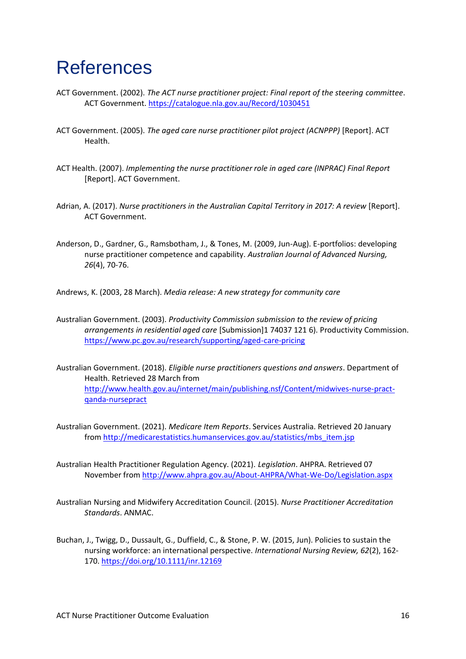#### <span id="page-18-0"></span>**References**

- ACT Government. (2002). *The ACT nurse practitioner project: Final report of the steering committee*. ACT Government.<https://catalogue.nla.gov.au/Record/1030451>
- ACT Government. (2005). *The aged care nurse practitioner pilot project (ACNPPP)* [Report]. ACT Health.
- ACT Health. (2007). *Implementing the nurse practitioner role in aged care (INPRAC) Final Report* [Report]. ACT Government.
- Adrian, A. (2017). *Nurse practitioners in the Australian Capital Territory in 2017: A review* [Report]. ACT Government.
- Anderson, D., Gardner, G., Ramsbotham, J., & Tones, M. (2009, Jun-Aug). E-portfolios: developing nurse practitioner competence and capability. *Australian Journal of Advanced Nursing, 26*(4), 70-76.

Andrews, K. (2003, 28 March). *Media release: A new strategy for community care*

- Australian Government. (2003). *Productivity Commission submission to the review of pricing arrangements in residential aged care* [Submission]1 74037 121 6). Productivity Commission. <https://www.pc.gov.au/research/supporting/aged-care-pricing>
- Australian Government. (2018). *Eligible nurse practitioners questions and answers*. Department of Health. Retrieved 28 March from [http://www.health.gov.au/internet/main/publishing.nsf/Content/midwives-nurse-pract](http://www.health.gov.au/internet/main/publishing.nsf/Content/midwives-nurse-pract-qanda-nursepract)[qanda-nursepract](http://www.health.gov.au/internet/main/publishing.nsf/Content/midwives-nurse-pract-qanda-nursepract)
- Australian Government. (2021). *Medicare Item Reports*. Services Australia. Retrieved 20 January from [http://medicarestatistics.humanservices.gov.au/statistics/mbs\\_item.jsp](http://medicarestatistics.humanservices.gov.au/statistics/mbs_item.jsp)
- Australian Health Practitioner Regulation Agency. (2021). *Legislation*. AHPRA. Retrieved 07 November from<http://www.ahpra.gov.au/About-AHPRA/What-We-Do/Legislation.aspx>
- Australian Nursing and Midwifery Accreditation Council. (2015). *Nurse Practitioner Accreditation Standards*. ANMAC.
- Buchan, J., Twigg, D., Dussault, G., Duffield, C., & Stone, P. W. (2015, Jun). Policies to sustain the nursing workforce: an international perspective. *International Nursing Review, 62*(2), 162- 170.<https://doi.org/10.1111/inr.12169>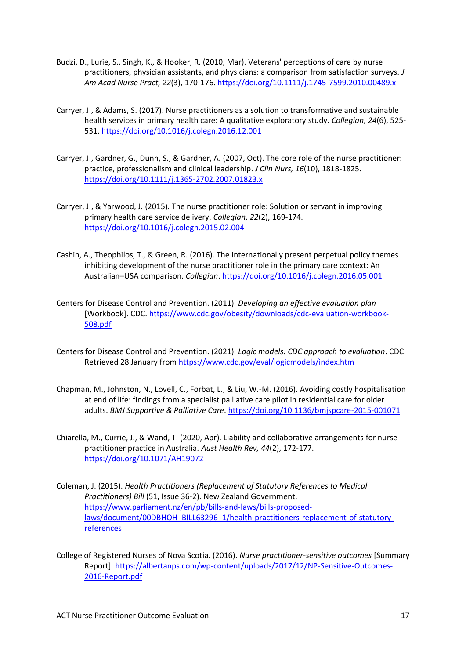- Budzi, D., Lurie, S., Singh, K., & Hooker, R. (2010, Mar). Veterans' perceptions of care by nurse practitioners, physician assistants, and physicians: a comparison from satisfaction surveys. *J Am Acad Nurse Pract, 22*(3), 170-176.<https://doi.org/10.1111/j.1745-7599.2010.00489.x>
- Carryer, J., & Adams, S. (2017). Nurse practitioners as a solution to transformative and sustainable health services in primary health care: A qualitative exploratory study. *Collegian, 24*(6), 525- 531.<https://doi.org/10.1016/j.colegn.2016.12.001>
- Carryer, J., Gardner, G., Dunn, S., & Gardner, A. (2007, Oct). The core role of the nurse practitioner: practice, professionalism and clinical leadership. *J Clin Nurs, 16*(10), 1818-1825. <https://doi.org/10.1111/j.1365-2702.2007.01823.x>
- Carryer, J., & Yarwood, J. (2015). The nurse practitioner role: Solution or servant in improving primary health care service delivery. *Collegian, 22*(2), 169-174. <https://doi.org/10.1016/j.colegn.2015.02.004>
- Cashin, A., Theophilos, T., & Green, R. (2016). The internationally present perpetual policy themes inhibiting development of the nurse practitioner role in the primary care context: An Australian–USA comparison. *Collegian*.<https://doi.org/10.1016/j.colegn.2016.05.001>
- Centers for Disease Control and Prevention. (2011). *Developing an effective evaluation plan* [Workbook]. CDC[. https://www.cdc.gov/obesity/downloads/cdc-evaluation-workbook-](https://www.cdc.gov/obesity/downloads/cdc-evaluation-workbook-508.pdf)[508.pdf](https://www.cdc.gov/obesity/downloads/cdc-evaluation-workbook-508.pdf)
- Centers for Disease Control and Prevention. (2021). *Logic models: CDC approach to evaluation*. CDC. Retrieved 28 January from<https://www.cdc.gov/eval/logicmodels/index.htm>
- Chapman, M., Johnston, N., Lovell, C., Forbat, L., & Liu, W.-M. (2016). Avoiding costly hospitalisation at end of life: findings from a specialist palliative care pilot in residential care for older adults. *BMJ Supportive & Palliative Care*[. https://doi.org/10.1136/bmjspcare-2015-001071](https://doi.org/10.1136/bmjspcare-2015-001071)
- Chiarella, M., Currie, J., & Wand, T. (2020, Apr). Liability and collaborative arrangements for nurse practitioner practice in Australia. *Aust Health Rev, 44*(2), 172-177. <https://doi.org/10.1071/AH19072>
- Coleman, J. (2015). *Health Practitioners (Replacement of Statutory References to Medical Practitioners) Bill* (51, Issue 36-2). New Zealand Government. [https://www.parliament.nz/en/pb/bills-and-laws/bills-proposed](https://www.parliament.nz/en/pb/bills-and-laws/bills-proposed-laws/document/00DBHOH_BILL63296_1/health-practitioners-replacement-of-statutory-references)[laws/document/00DBHOH\\_BILL63296\\_1/health-practitioners-replacement-of-statutory](https://www.parliament.nz/en/pb/bills-and-laws/bills-proposed-laws/document/00DBHOH_BILL63296_1/health-practitioners-replacement-of-statutory-references)[references](https://www.parliament.nz/en/pb/bills-and-laws/bills-proposed-laws/document/00DBHOH_BILL63296_1/health-practitioners-replacement-of-statutory-references)
- College of Registered Nurses of Nova Scotia. (2016). *Nurse practitioner-sensitive outcomes* [Summary Report]. [https://albertanps.com/wp-content/uploads/2017/12/NP-Sensitive-Outcomes-](https://albertanps.com/wp-content/uploads/2017/12/NP-Sensitive-Outcomes-2016-Report.pdf)[2016-Report.pdf](https://albertanps.com/wp-content/uploads/2017/12/NP-Sensitive-Outcomes-2016-Report.pdf)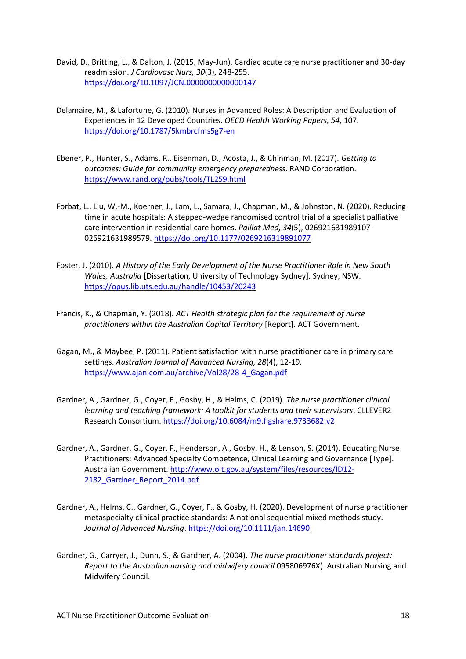- David, D., Britting, L., & Dalton, J. (2015, May-Jun). Cardiac acute care nurse practitioner and 30-day readmission. *J Cardiovasc Nurs, 30*(3), 248-255. <https://doi.org/10.1097/JCN.0000000000000147>
- Delamaire, M., & Lafortune, G. (2010). Nurses in Advanced Roles: A Description and Evaluation of Experiences in 12 Developed Countries. *OECD Health Working Papers, 54*, 107. <https://doi.org/10.1787/5kmbrcfms5g7-en>
- Ebener, P., Hunter, S., Adams, R., Eisenman, D., Acosta, J., & Chinman, M. (2017). *Getting to outcomes: Guide for community emergency preparedness*. RAND Corporation. <https://www.rand.org/pubs/tools/TL259.html>
- Forbat, L., Liu, W.-M., Koerner, J., Lam, L., Samara, J., Chapman, M., & Johnston, N. (2020). Reducing time in acute hospitals: A stepped-wedge randomised control trial of a specialist palliative care intervention in residential care homes. *Palliat Med, 34*(5), 026921631989107- 026921631989579.<https://doi.org/10.1177/0269216319891077>
- Foster, J. (2010). *A History of the Early Development of the Nurse Practitioner Role in New South Wales, Australia* [Dissertation, University of Technology Sydney]. Sydney, NSW. <https://opus.lib.uts.edu.au/handle/10453/20243>
- Francis, K., & Chapman, Y. (2018). *ACT Health strategic plan for the requirement of nurse practitioners within the Australian Capital Territory* [Report]. ACT Government.
- Gagan, M., & Maybee, P. (2011). Patient satisfaction with nurse practitioner care in primary care settings. *Australian Journal of Advanced Nursing, 28*(4), 12-19. [https://www.ajan.com.au/archive/Vol28/28-4\\_Gagan.pdf](https://www.ajan.com.au/archive/Vol28/28-4_Gagan.pdf)
- Gardner, A., Gardner, G., Coyer, F., Gosby, H., & Helms, C. (2019). *The nurse practitioner clinical learning and teaching framework: A toolkit for students and their supervisors*. CLLEVER2 Research Consortium[. https://doi.org/10.6084/m9.figshare.9733682.v2](https://doi.org/10.6084/m9.figshare.9733682.v2)
- Gardner, A., Gardner, G., Coyer, F., Henderson, A., Gosby, H., & Lenson, S. (2014). Educating Nurse Practitioners: Advanced Specialty Competence, Clinical Learning and Governance [Type]. Australian Government[. http://www.olt.gov.au/system/files/resources/ID12-](http://www.olt.gov.au/system/files/resources/ID12-2182_Gardner_Report_2014.pdf) 2182 Gardner Report 2014.pdf
- Gardner, A., Helms, C., Gardner, G., Coyer, F., & Gosby, H. (2020). Development of nurse practitioner metaspecialty clinical practice standards: A national sequential mixed methods study. *Journal of Advanced Nursing*[. https://doi.org/10.1111/jan.14690](https://doi.org/10.1111/jan.14690)
- Gardner, G., Carryer, J., Dunn, S., & Gardner, A. (2004). *The nurse practitioner standards project: Report to the Australian nursing and midwifery council* 095806976X). Australian Nursing and Midwifery Council.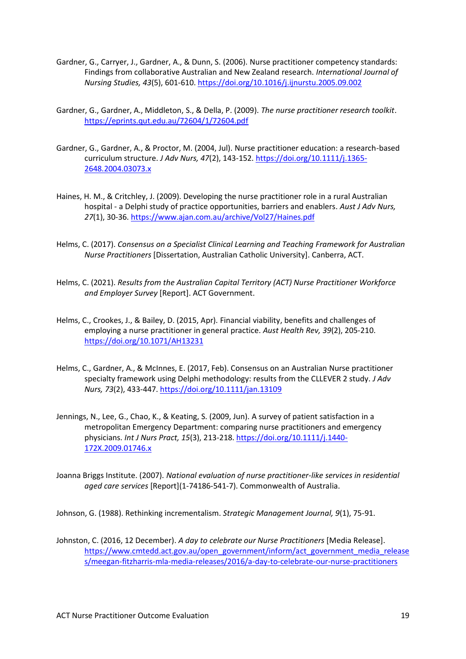- Gardner, G., Carryer, J., Gardner, A., & Dunn, S. (2006). Nurse practitioner competency standards: Findings from collaborative Australian and New Zealand research. *International Journal of Nursing Studies, 43*(5), 601-610.<https://doi.org/10.1016/j.ijnurstu.2005.09.002>
- Gardner, G., Gardner, A., Middleton, S., & Della, P. (2009). *The nurse practitioner research toolkit*. <https://eprints.qut.edu.au/72604/1/72604.pdf>
- Gardner, G., Gardner, A., & Proctor, M. (2004, Jul). Nurse practitioner education: a research-based curriculum structure. *J Adv Nurs, 47*(2), 143-152. [https://doi.org/10.1111/j.1365-](https://doi.org/10.1111/j.1365-2648.2004.03073.x) [2648.2004.03073.x](https://doi.org/10.1111/j.1365-2648.2004.03073.x)
- Haines, H. M., & Critchley, J. (2009). Developing the nurse practitioner role in a rural Australian hospital - a Delphi study of practice opportunities, barriers and enablers. *Aust J Adv Nurs, 27*(1), 30-36.<https://www.ajan.com.au/archive/Vol27/Haines.pdf>
- Helms, C. (2017). *Consensus on a Specialist Clinical Learning and Teaching Framework for Australian Nurse Practitioners* [Dissertation, Australian Catholic University]. Canberra, ACT.
- Helms, C. (2021). *Results from the Australian Capital Territory (ACT) Nurse Practitioner Workforce and Employer Survey* [Report]. ACT Government.
- Helms, C., Crookes, J., & Bailey, D. (2015, Apr). Financial viability, benefits and challenges of employing a nurse practitioner in general practice. *Aust Health Rev, 39*(2), 205-210. <https://doi.org/10.1071/AH13231>
- Helms, C., Gardner, A., & McInnes, E. (2017, Feb). Consensus on an Australian Nurse practitioner specialty framework using Delphi methodology: results from the CLLEVER 2 study. *J Adv Nurs, 73*(2), 433-447[. https://doi.org/10.1111/jan.13109](https://doi.org/10.1111/jan.13109)
- Jennings, N., Lee, G., Chao, K., & Keating, S. (2009, Jun). A survey of patient satisfaction in a metropolitan Emergency Department: comparing nurse practitioners and emergency physicians. *Int J Nurs Pract, 15*(3), 213-218. [https://doi.org/10.1111/j.1440-](https://doi.org/10.1111/j.1440-172X.2009.01746.x) [172X.2009.01746.x](https://doi.org/10.1111/j.1440-172X.2009.01746.x)
- Joanna Briggs Institute. (2007). *National evaluation of nurse practitioner-like services in residential aged care services* [Report](1-74186-541-7). Commonwealth of Australia.

Johnson, G. (1988). Rethinking incrementalism. *Strategic Management Journal, 9*(1), 75-91.

Johnston, C. (2016, 12 December). *A day to celebrate our Nurse Practitioners* [Media Release]. [https://www.cmtedd.act.gov.au/open\\_government/inform/act\\_government\\_media\\_release](https://www.cmtedd.act.gov.au/open_government/inform/act_government_media_releases/meegan-fitzharris-mla-media-releases/2016/a-day-to-celebrate-our-nurse-practitioners) [s/meegan-fitzharris-mla-media-releases/2016/a-day-to-celebrate-our-nurse-practitioners](https://www.cmtedd.act.gov.au/open_government/inform/act_government_media_releases/meegan-fitzharris-mla-media-releases/2016/a-day-to-celebrate-our-nurse-practitioners)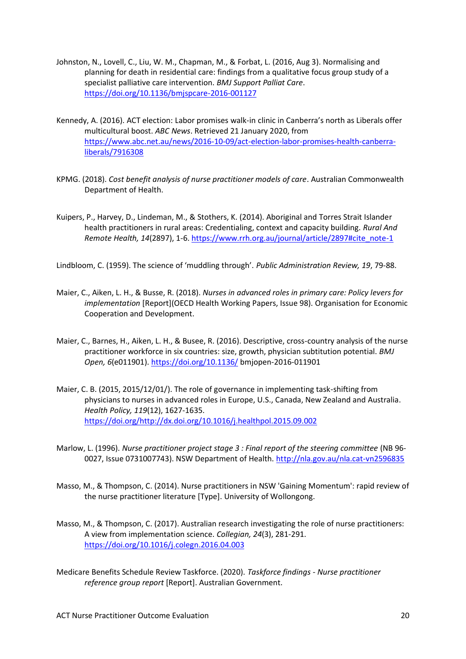- Johnston, N., Lovell, C., Liu, W. M., Chapman, M., & Forbat, L. (2016, Aug 3). Normalising and planning for death in residential care: findings from a qualitative focus group study of a specialist palliative care intervention. *BMJ Support Palliat Care*. <https://doi.org/10.1136/bmjspcare-2016-001127>
- Kennedy, A. (2016). ACT election: Labor promises walk-in clinic in Canberra's north as Liberals offer multicultural boost. *ABC News*. Retrieved 21 January 2020, from [https://www.abc.net.au/news/2016-10-09/act-election-labor-promises-health-canberra](https://www.abc.net.au/news/2016-10-09/act-election-labor-promises-health-canberra-liberals/7916308)[liberals/7916308](https://www.abc.net.au/news/2016-10-09/act-election-labor-promises-health-canberra-liberals/7916308)
- KPMG. (2018). *Cost benefit analysis of nurse practitioner models of care*. Australian Commonwealth Department of Health.
- Kuipers, P., Harvey, D., Lindeman, M., & Stothers, K. (2014). Aboriginal and Torres Strait Islander health practitioners in rural areas: Credentialing, context and capacity building. *Rural And Remote Health, 14*(2897), 1-6. [https://www.rrh.org.au/journal/article/2897#cite\\_note-1](https://www.rrh.org.au/journal/article/2897#cite_note-1)

Lindbloom, C. (1959). The science of 'muddling through'. *Public Administration Review, 19*, 79-88.

- Maier, C., Aiken, L. H., & Busse, R. (2018). *Nurses in advanced roles in primary care: Policy levers for implementation* [Report](OECD Health Working Papers, Issue 98). Organisation for Economic Cooperation and Development.
- Maier, C., Barnes, H., Aiken, L. H., & Busee, R. (2016). Descriptive, cross-country analysis of the nurse practitioner workforce in six countries: size, growth, physician subtitution potential. *BMJ Open, 6*(e011901).<https://doi.org/10.1136/> bmjopen-2016-011901
- Maier, C. B. (2015, 2015/12/01/). The role of governance in implementing task-shifting from physicians to nurses in advanced roles in Europe, U.S., Canada, New Zealand and Australia. *Health Policy, 119*(12), 1627-1635. [https://doi.org/http://dx.doi.org/10.1016/j.healthpol.2015.09.002](https://doi.org/http:/dx.doi.org/10.1016/j.healthpol.2015.09.002)
- Marlow, L. (1996). *Nurse practitioner project stage 3 : Final report of the steering committee* (NB 96- 0027, Issue 0731007743). NSW Department of Health.<http://nla.gov.au/nla.cat-vn2596835>
- Masso, M., & Thompson, C. (2014). Nurse practitioners in NSW 'Gaining Momentum': rapid review of the nurse practitioner literature [Type]. University of Wollongong.
- Masso, M., & Thompson, C. (2017). Australian research investigating the role of nurse practitioners: A view from implementation science. *Collegian, 24*(3), 281-291. <https://doi.org/10.1016/j.colegn.2016.04.003>
- Medicare Benefits Schedule Review Taskforce. (2020). *Taskforce findings - Nurse practitioner reference group report* [Report]. Australian Government.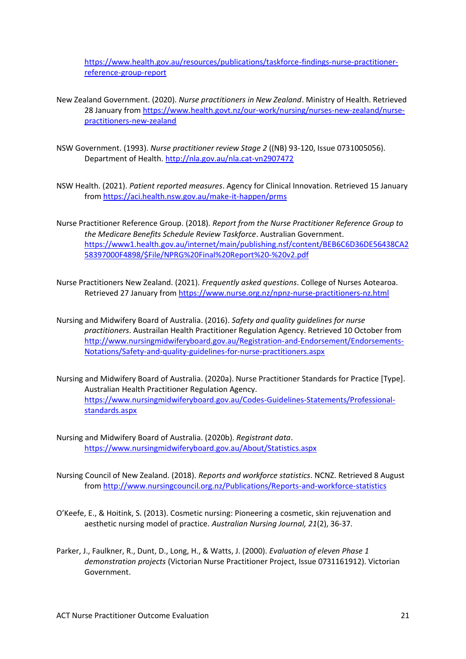[https://www.health.gov.au/resources/publications/taskforce-findings-nurse-practitioner](https://www.health.gov.au/resources/publications/taskforce-findings-nurse-practitioner-reference-group-report)[reference-group-report](https://www.health.gov.au/resources/publications/taskforce-findings-nurse-practitioner-reference-group-report)

- New Zealand Government. (2020). *Nurse practitioners in New Zealand*. Ministry of Health. Retrieved 28 January from [https://www.health.govt.nz/our-work/nursing/nurses-new-zealand/nurse](https://www.health.govt.nz/our-work/nursing/nurses-new-zealand/nurse-practitioners-new-zealand)[practitioners-new-zealand](https://www.health.govt.nz/our-work/nursing/nurses-new-zealand/nurse-practitioners-new-zealand)
- NSW Government. (1993). *Nurse practitioner review Stage 2* ((NB) 93-120, Issue 0731005056). Department of Health.<http://nla.gov.au/nla.cat-vn2907472>
- NSW Health. (2021). *Patient reported measures*. Agency for Clinical Innovation. Retrieved 15 January from<https://aci.health.nsw.gov.au/make-it-happen/prms>
- Nurse Practitioner Reference Group. (2018). *Report from the Nurse Practitioner Reference Group to the Medicare Benefits Schedule Review Taskforce*. Australian Government. [https://www1.health.gov.au/internet/main/publishing.nsf/content/BEB6C6D36DE56438CA2](https://www1.health.gov.au/internet/main/publishing.nsf/content/BEB6C6D36DE56438CA258397000F4898/$File/NPRG%20Final%20Report%20-%20v2.pdf) [58397000F4898/\\$File/NPRG%20Final%20Report%20-%20v2.pdf](https://www1.health.gov.au/internet/main/publishing.nsf/content/BEB6C6D36DE56438CA258397000F4898/$File/NPRG%20Final%20Report%20-%20v2.pdf)
- Nurse Practitioners New Zealand. (2021). *Frequently asked questions*. College of Nurses Aotearoa. Retrieved 27 January from<https://www.nurse.org.nz/npnz-nurse-practitioners-nz.html>
- Nursing and Midwifery Board of Australia. (2016). *Safety and quality guidelines for nurse practitioners*. Austrailan Health Practitioner Regulation Agency. Retrieved 10 October from [http://www.nursingmidwiferyboard.gov.au/Registration-and-Endorsement/Endorsements-](http://www.nursingmidwiferyboard.gov.au/Registration-and-Endorsement/Endorsements-Notations/Safety-and-quality-guidelines-for-nurse-practitioners.aspx)[Notations/Safety-and-quality-guidelines-for-nurse-practitioners.aspx](http://www.nursingmidwiferyboard.gov.au/Registration-and-Endorsement/Endorsements-Notations/Safety-and-quality-guidelines-for-nurse-practitioners.aspx)
- Nursing and Midwifery Board of Australia. (2020a). Nurse Practitioner Standards for Practice [Type]. Australian Health Practitioner Regulation Agency. [https://www.nursingmidwiferyboard.gov.au/Codes-Guidelines-Statements/Professional](https://www.nursingmidwiferyboard.gov.au/Codes-Guidelines-Statements/Professional-standards.aspx)[standards.aspx](https://www.nursingmidwiferyboard.gov.au/Codes-Guidelines-Statements/Professional-standards.aspx)
- Nursing and Midwifery Board of Australia. (2020b). *Registrant data*. <https://www.nursingmidwiferyboard.gov.au/About/Statistics.aspx>
- Nursing Council of New Zealand. (2018). *Reports and workforce statistics*. NCNZ. Retrieved 8 August from<http://www.nursingcouncil.org.nz/Publications/Reports-and-workforce-statistics>
- O'Keefe, E., & Hoitink, S. (2013). Cosmetic nursing: Pioneering a cosmetic, skin rejuvenation and aesthetic nursing model of practice. *Australian Nursing Journal, 21*(2), 36-37.
- Parker, J., Faulkner, R., Dunt, D., Long, H., & Watts, J. (2000). *Evaluation of eleven Phase 1 demonstration projects* (Victorian Nurse Practitioner Project, Issue 0731161912). Victorian Government.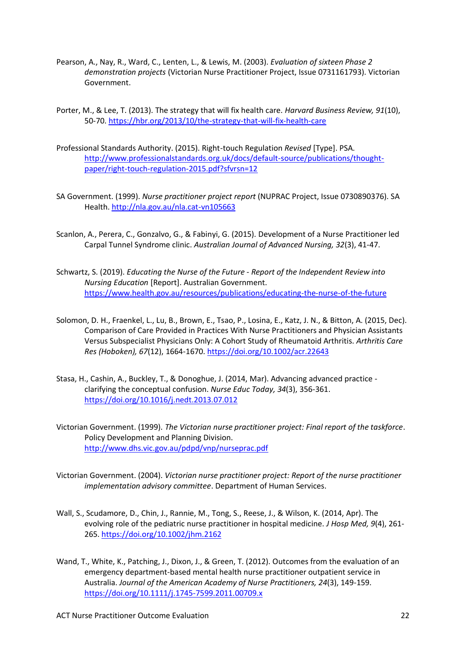- Pearson, A., Nay, R., Ward, C., Lenten, L., & Lewis, M. (2003). *Evaluation of sixteen Phase 2 demonstration projects* (Victorian Nurse Practitioner Project, Issue 0731161793). Victorian Government.
- Porter, M., & Lee, T. (2013). The strategy that will fix health care. *Harvard Business Review, 91*(10), 50-70.<https://hbr.org/2013/10/the-strategy-that-will-fix-health-care>
- Professional Standards Authority. (2015). Right-touch Regulation *Revised* [Type]. PSA. [http://www.professionalstandards.org.uk/docs/default-source/publications/thought](http://www.professionalstandards.org.uk/docs/default-source/publications/thought-paper/right-touch-regulation-2015.pdf?sfvrsn=12)[paper/right-touch-regulation-2015.pdf?sfvrsn=12](http://www.professionalstandards.org.uk/docs/default-source/publications/thought-paper/right-touch-regulation-2015.pdf?sfvrsn=12)
- SA Government. (1999). *Nurse practitioner project report* (NUPRAC Project, Issue 0730890376). SA Health.<http://nla.gov.au/nla.cat-vn105663>
- Scanlon, A., Perera, C., Gonzalvo, G., & Fabinyi, G. (2015). Development of a Nurse Practitioner led Carpal Tunnel Syndrome clinic. *Australian Journal of Advanced Nursing, 32*(3), 41-47.
- Schwartz, S. (2019). *Educating the Nurse of the Future - Report of the Independent Review into Nursing Education* [Report]. Australian Government. <https://www.health.gov.au/resources/publications/educating-the-nurse-of-the-future>
- Solomon, D. H., Fraenkel, L., Lu, B., Brown, E., Tsao, P., Losina, E., Katz, J. N., & Bitton, A. (2015, Dec). Comparison of Care Provided in Practices With Nurse Practitioners and Physician Assistants Versus Subspecialist Physicians Only: A Cohort Study of Rheumatoid Arthritis. *Arthritis Care Res (Hoboken), 67*(12), 1664-1670.<https://doi.org/10.1002/acr.22643>
- Stasa, H., Cashin, A., Buckley, T., & Donoghue, J. (2014, Mar). Advancing advanced practice clarifying the conceptual confusion. *Nurse Educ Today, 34*(3), 356-361. <https://doi.org/10.1016/j.nedt.2013.07.012>
- Victorian Government. (1999). *The Victorian nurse practitioner project: Final report of the taskforce*. Policy Development and Planning Division. <http://www.dhs.vic.gov.au/pdpd/vnp/nurseprac.pdf>
- Victorian Government. (2004). *Victorian nurse practitioner project: Report of the nurse practitioner implementation advisory committee*. Department of Human Services.
- Wall, S., Scudamore, D., Chin, J., Rannie, M., Tong, S., Reese, J., & Wilson, K. (2014, Apr). The evolving role of the pediatric nurse practitioner in hospital medicine. *J Hosp Med, 9*(4), 261- 265.<https://doi.org/10.1002/jhm.2162>
- Wand, T., White, K., Patching, J., Dixon, J., & Green, T. (2012). Outcomes from the evaluation of an emergency department-based mental health nurse practitioner outpatient service in Australia. *Journal of the American Academy of Nurse Practitioners, 24*(3), 149-159. <https://doi.org/10.1111/j.1745-7599.2011.00709.x>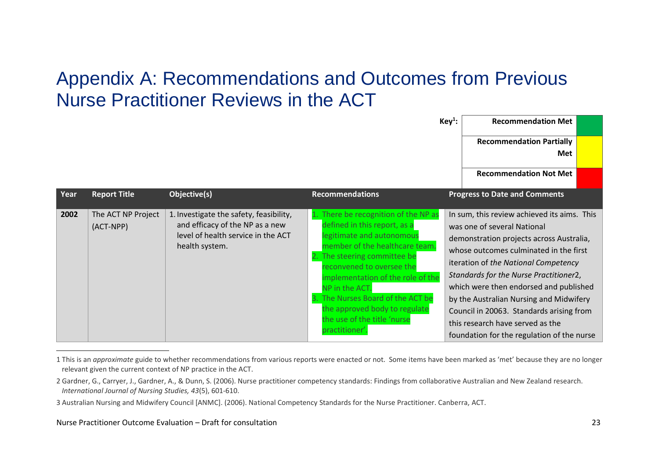#### Appendix A: Recommendations and Outcomes from Previous Nurse Practitioner Reviews in the ACT

|      |                                 |                                                                                                                                    |                                                                                                                                                                                                                                                                                                                                                                      | $Key1$ : | <b>Recommendation Met</b>                                                                                                                                                                                                                                                                                                                                                                                                                                             |  |
|------|---------------------------------|------------------------------------------------------------------------------------------------------------------------------------|----------------------------------------------------------------------------------------------------------------------------------------------------------------------------------------------------------------------------------------------------------------------------------------------------------------------------------------------------------------------|----------|-----------------------------------------------------------------------------------------------------------------------------------------------------------------------------------------------------------------------------------------------------------------------------------------------------------------------------------------------------------------------------------------------------------------------------------------------------------------------|--|
|      |                                 |                                                                                                                                    |                                                                                                                                                                                                                                                                                                                                                                      |          | <b>Recommendation Partially</b>                                                                                                                                                                                                                                                                                                                                                                                                                                       |  |
|      |                                 |                                                                                                                                    |                                                                                                                                                                                                                                                                                                                                                                      |          | Met                                                                                                                                                                                                                                                                                                                                                                                                                                                                   |  |
|      |                                 |                                                                                                                                    |                                                                                                                                                                                                                                                                                                                                                                      |          | <b>Recommendation Not Met</b>                                                                                                                                                                                                                                                                                                                                                                                                                                         |  |
| Year | <b>Report Title</b>             | Objective(s)                                                                                                                       | <b>Recommendations</b>                                                                                                                                                                                                                                                                                                                                               |          | <b>Progress to Date and Comments</b>                                                                                                                                                                                                                                                                                                                                                                                                                                  |  |
| 2002 | The ACT NP Project<br>(ACT-NPP) | 1. Investigate the safety, feasibility,<br>and efficacy of the NP as a new<br>level of health service in the ACT<br>health system. | There be recognition of the NP as<br>defined in this report, as a<br>legitimate and autonomous<br>member of the healthcare team.<br>The steering committee be<br>reconvened to oversee the<br>implementation of the role of the<br>NP in the ACT.<br>The Nurses Board of the ACT be<br>the approved body to regulate<br>the use of the title 'nurse<br>practitioner' |          | In sum, this review achieved its aims. This<br>was one of several National<br>demonstration projects across Australia,<br>whose outcomes culminated in the first<br>iteration of the National Competency<br>Standards for the Nurse Practitioner2,<br>which were then endorsed and published<br>by the Australian Nursing and Midwifery<br>Council in 20063. Standards arising from<br>this research have served as the<br>foundation for the regulation of the nurse |  |

<span id="page-25-0"></span><sup>1</sup> This is an *approximate* guide to whether recommendations from various reports were enacted or not. Some items have been marked as 'met' because they are no longer relevant given the current context of NP practice in the ACT.

<sup>2</sup> Gardner, G., Carryer, J., Gardner, A., & Dunn, S. (2006). Nurse practitioner competency standards: Findings from collaborative Australian and New Zealand research. *International Journal of Nursing Studies, 43*(5), 601-610.

<sup>3</sup> Australian Nursing and Midwifery Council [ANMC]. (2006). National Competency Standards for the Nurse Practitioner. Canberra, ACT.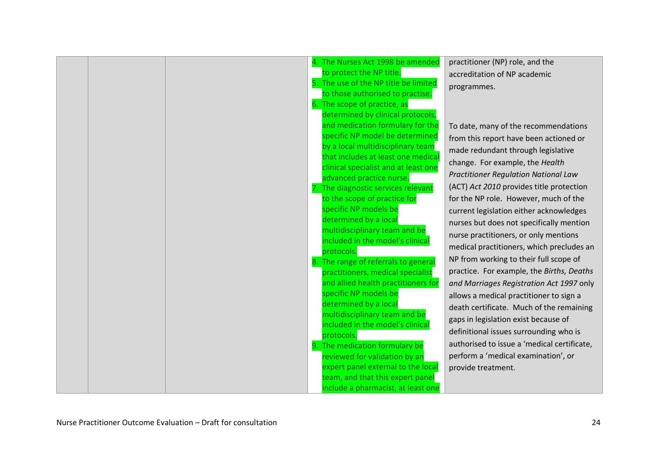| 4. The Nurses Act 1998 be amended                                    | practitioner (NP) role, and the             |
|----------------------------------------------------------------------|---------------------------------------------|
| to protect the NP title.                                             | accreditation of NP academic                |
| 5. The use of the NP title be limited                                | programmes.                                 |
| to those authorised to practise.                                     |                                             |
| 6. The scope of practice, as                                         |                                             |
| determined by clinical protocols,                                    |                                             |
| and medication formulary for the                                     | To date, many of the recommendations        |
| specific NP model be determined<br>by a local multidisciplinary team | from this report have been actioned or      |
| that includes at least one medical                                   | made redundant through legislative          |
| clinical specialist and at least one                                 | change. For example, the Health             |
| advanced practice nurse.                                             | <b>Practitioner Regulation National Law</b> |
| 7. The diagnostic services relevant                                  | (ACT) Act 2010 provides title protection    |
| to the scope of practice for                                         | for the NP role. However, much of the       |
| specific NP models be                                                | current legislation either acknowledges     |
| determined by a local                                                | nurses but does not specifically mention    |
| multidisciplinary team and be                                        | nurse practitioners, or only mentions       |
| included in the model's clinical                                     | medical practitioners, which precludes an   |
| protocols.                                                           |                                             |
| 8. The range of referrals to general                                 | NP from working to their full scope of      |
| practitioners, medical specialist                                    | practice. For example, the Births, Deaths   |
| and allied health practitioners for                                  | and Marriages Registration Act 1997 only    |
| specific NP models be                                                | allows a medical practitioner to sign a     |
| determined by a local                                                | death certificate. Much of the remaining    |
| multidisciplinary team and be<br>included in the model's clinica     | gaps in legislation exist because of        |
| protocols.                                                           | definitional issues surrounding who is      |
| 9. The medication formulary be                                       | authorised to issue a 'medical certificate, |
| reviewed for validation by an                                        | perform a 'medical examination', or         |
| expert panel external to the local                                   | provide treatment.                          |
| team, and that this expert panel                                     |                                             |
| include a pharmacist, at least one                                   |                                             |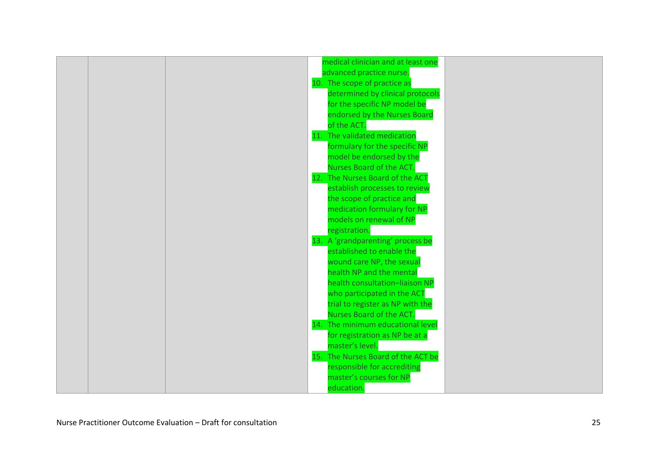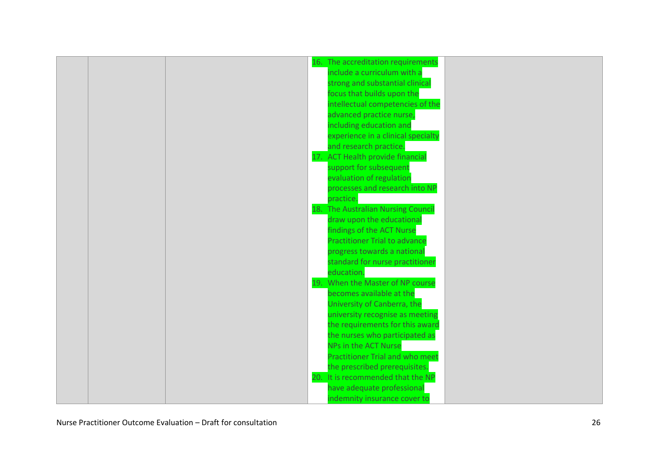|  | 16. The accreditation requirements     |  |
|--|----------------------------------------|--|
|  | include a curriculum with a            |  |
|  | strong and substantial clinical        |  |
|  | focus that builds upon the             |  |
|  | intellectual competencies of the       |  |
|  | advanced practice nurse,               |  |
|  | including education and                |  |
|  | experience in a clinical specialty     |  |
|  | and research practice.                 |  |
|  | 17. ACT Health provide financial       |  |
|  | support for subsequent                 |  |
|  | evaluation of regulation               |  |
|  | processes and research into NP         |  |
|  | practice.                              |  |
|  | 18. The Australian Nursing Council     |  |
|  | draw upon the educational              |  |
|  | findings of the ACT Nurse              |  |
|  | <b>Practitioner Trial to advance</b>   |  |
|  | progress towards a national            |  |
|  | standard for nurse practitioner        |  |
|  | education.                             |  |
|  | 19. When the Master of NP course       |  |
|  | becomes available at the               |  |
|  | University of Canberra, the            |  |
|  | university recognise as meeting        |  |
|  | the requirements for this award        |  |
|  | the nurses who participated as         |  |
|  | NPs in the ACT Nurse                   |  |
|  | <b>Practitioner Trial and who meet</b> |  |
|  | the prescribed prerequisites.          |  |
|  | 20. It is recommended that the NP      |  |
|  | have adequate professional             |  |
|  | indemnity insurance cover to           |  |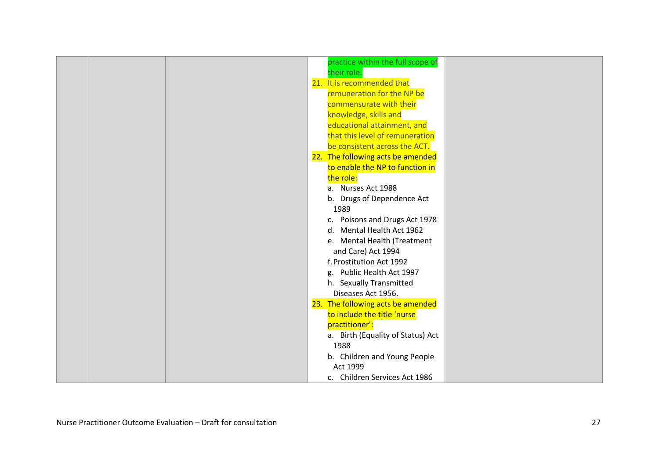|  | practice within the full scope of |  |
|--|-----------------------------------|--|
|  | their role.                       |  |
|  | 21. It is recommended that        |  |
|  | remuneration for the NP be        |  |
|  | commensurate with their           |  |
|  | knowledge, skills and             |  |
|  | educational attainment, and       |  |
|  | that this level of remuneration   |  |
|  | be consistent across the ACT.     |  |
|  | 22. The following acts be amended |  |
|  | to enable the NP to function in   |  |
|  | the role:                         |  |
|  | a. Nurses Act 1988                |  |
|  | b. Drugs of Dependence Act        |  |
|  | 1989                              |  |
|  | c. Poisons and Drugs Act 1978     |  |
|  | d. Mental Health Act 1962         |  |
|  | e. Mental Health (Treatment       |  |
|  | and Care) Act 1994                |  |
|  | f. Prostitution Act 1992          |  |
|  | g. Public Health Act 1997         |  |
|  | h. Sexually Transmitted           |  |
|  | Diseases Act 1956.                |  |
|  | 23. The following acts be amended |  |
|  | to include the title 'nurse       |  |
|  | practitioner':                    |  |
|  | a. Birth (Equality of Status) Act |  |
|  | 1988                              |  |
|  | b. Children and Young People      |  |
|  | Act 1999                          |  |
|  | c. Children Services Act 1986     |  |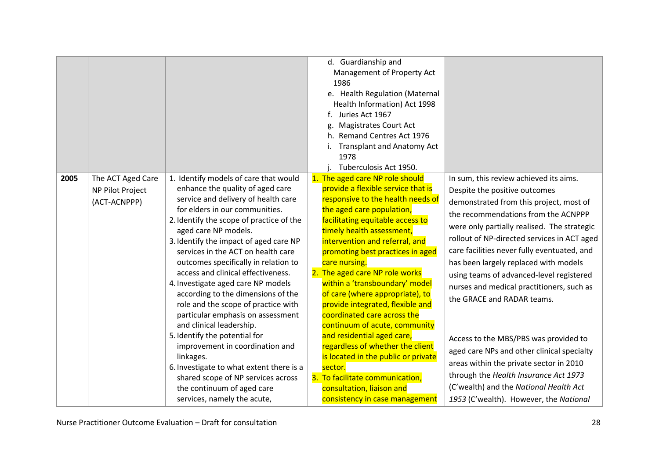|      |                                                       |                                                                                                                                                                                                                                                                                                                                                                                                                                                                                                                                                                                                                                                                                                                                                                                                          | d. Guardianship and<br>Management of Property Act<br>1986<br>e. Health Regulation (Maternal<br>Health Information) Act 1998<br>Juries Act 1967<br>f.<br><b>Magistrates Court Act</b><br>Remand Centres Act 1976<br><b>Transplant and Anatomy Act</b><br>1978<br>Tuberculosis Act 1950.                                                                                                                                                                                                                                                                                                                                                                                                                                           |                                                                                                                                                                                                                                                                                                                                                                                                                                                                                                                                                                                                                                                                                                                                       |
|------|-------------------------------------------------------|----------------------------------------------------------------------------------------------------------------------------------------------------------------------------------------------------------------------------------------------------------------------------------------------------------------------------------------------------------------------------------------------------------------------------------------------------------------------------------------------------------------------------------------------------------------------------------------------------------------------------------------------------------------------------------------------------------------------------------------------------------------------------------------------------------|----------------------------------------------------------------------------------------------------------------------------------------------------------------------------------------------------------------------------------------------------------------------------------------------------------------------------------------------------------------------------------------------------------------------------------------------------------------------------------------------------------------------------------------------------------------------------------------------------------------------------------------------------------------------------------------------------------------------------------|---------------------------------------------------------------------------------------------------------------------------------------------------------------------------------------------------------------------------------------------------------------------------------------------------------------------------------------------------------------------------------------------------------------------------------------------------------------------------------------------------------------------------------------------------------------------------------------------------------------------------------------------------------------------------------------------------------------------------------------|
| 2005 | The ACT Aged Care<br>NP Pilot Project<br>(ACT-ACNPPP) | 1. Identify models of care that would<br>enhance the quality of aged care<br>service and delivery of health care<br>for elders in our communities.<br>2. Identify the scope of practice of the<br>aged care NP models.<br>3. Identify the impact of aged care NP<br>services in the ACT on health care<br>outcomes specifically in relation to<br>access and clinical effectiveness.<br>4. Investigate aged care NP models<br>according to the dimensions of the<br>role and the scope of practice with<br>particular emphasis on assessment<br>and clinical leadership.<br>5. Identify the potential for<br>improvement in coordination and<br>linkages.<br>6. Investigate to what extent there is a<br>shared scope of NP services across<br>the continuum of aged care<br>services, namely the acute, | 1. The aged care NP role should<br>provide a flexible service that is<br>responsive to the health needs of<br>the aged care population,<br>facilitating equitable access to<br>timely health assessment,<br>intervention and referral, and<br>promoting best practices in aged<br>care nursing.<br>2. The aged care NP role works<br>within a 'transboundary' model<br>of care (where appropriate), to<br>provide integrated, flexible and<br>coordinated care across the<br>continuum of acute, community<br>and residential aged care,<br>regardless of whether the client<br>is located in the public or private<br>sector.<br>3. To facilitate communication,<br>consultation, liaison and<br>consistency in case management | In sum, this review achieved its aims.<br>Despite the positive outcomes<br>demonstrated from this project, most of<br>the recommendations from the ACNPPP<br>were only partially realised. The strategic<br>rollout of NP-directed services in ACT aged<br>care facilities never fully eventuated, and<br>has been largely replaced with models<br>using teams of advanced-level registered<br>nurses and medical practitioners, such as<br>the GRACE and RADAR teams.<br>Access to the MBS/PBS was provided to<br>aged care NPs and other clinical specialty<br>areas within the private sector in 2010<br>through the Health Insurance Act 1973<br>(C'wealth) and the National Health Act<br>1953 (C'wealth). However, the National |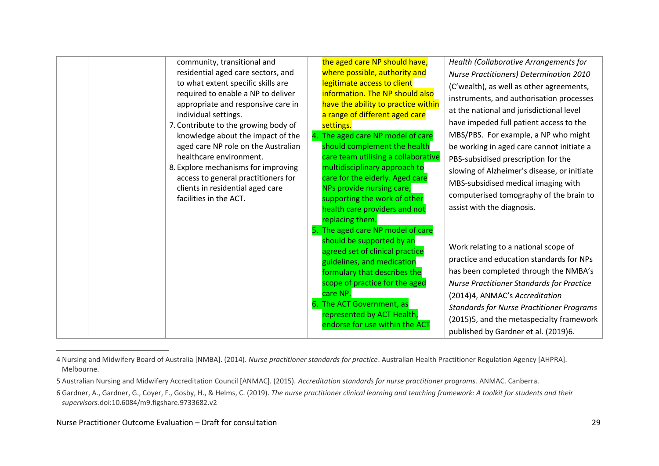| community, transitional and<br>residential aged care sectors, and<br>to what extent specific skills are<br>required to enable a NP to deliver<br>appropriate and responsive care in<br>individual settings.<br>7. Contribute to the growing body of<br>knowledge about the impact of the<br>aged care NP role on the Australian<br>healthcare environment.<br>8. Explore mechanisms for improving<br>access to general practitioners for<br>clients in residential aged care<br>facilities in the ACT. | the aged care NP should have,<br>where possible, authority and<br>legitimate access to client<br>information. The NP should also<br>have the ability to practice within<br>a range of different aged care<br>settings.<br>4. The aged care NP model of care<br>should complement the health<br>care team utilising a collaborative<br>multidisciplinary approach to<br>care for the elderly. Aged care<br>NPs provide nursing care,<br>supporting the work of other<br>health care providers and not<br>replacing them.<br>5. The aged care NP model of care<br>should be supported by an<br>agreed set of clinical practice<br>guidelines, and medication<br>formulary that describes the<br>scope of practice for the aged<br>care NP.<br>6. The ACT Government, as<br>represented by ACT Health,<br>endorse for use within the ACT | Health (Collaborative Arrangements for<br>Nurse Practitioners) Determination 2010<br>(C'wealth), as well as other agreements,<br>instruments, and authorisation processes<br>at the national and jurisdictional level<br>have impeded full patient access to the<br>MBS/PBS. For example, a NP who might<br>be working in aged care cannot initiate a<br>PBS-subsidised prescription for the<br>slowing of Alzheimer's disease, or initiate<br>MBS-subsidised medical imaging with<br>computerised tomography of the brain to<br>assist with the diagnosis.<br>Work relating to a national scope of<br>practice and education standards for NPs<br>has been completed through the NMBA's<br><b>Nurse Practitioner Standards for Practice</b><br>(2014)4, ANMAC's Accreditation<br><b>Standards for Nurse Practitioner Programs</b><br>(2015)5, and the metaspecialty framework<br>published by Gardner et al. (2019)6. |
|--------------------------------------------------------------------------------------------------------------------------------------------------------------------------------------------------------------------------------------------------------------------------------------------------------------------------------------------------------------------------------------------------------------------------------------------------------------------------------------------------------|---------------------------------------------------------------------------------------------------------------------------------------------------------------------------------------------------------------------------------------------------------------------------------------------------------------------------------------------------------------------------------------------------------------------------------------------------------------------------------------------------------------------------------------------------------------------------------------------------------------------------------------------------------------------------------------------------------------------------------------------------------------------------------------------------------------------------------------|------------------------------------------------------------------------------------------------------------------------------------------------------------------------------------------------------------------------------------------------------------------------------------------------------------------------------------------------------------------------------------------------------------------------------------------------------------------------------------------------------------------------------------------------------------------------------------------------------------------------------------------------------------------------------------------------------------------------------------------------------------------------------------------------------------------------------------------------------------------------------------------------------------------------|

<sup>4</sup> Nursing and Midwifery Board of Australia [NMBA]. (2014). *Nurse practitioner standards for practice*. Australian Health Practitioner Regulation Agency [AHPRA]. Melbourne.

<sup>5</sup> Australian Nursing and Midwifery Accreditation Council [ANMAC]. (2015). *Accreditation standards for nurse practitioner programs.* ANMAC. Canberra.

<sup>6</sup> Gardner, A., Gardner, G., Coyer, F., Gosby, H., & Helms, C. (2019). *The nurse practitioner clinical learning and teaching framework: A toolkit for students and their supervisors.*doi:10.6084/m9.figshare.9733682.v2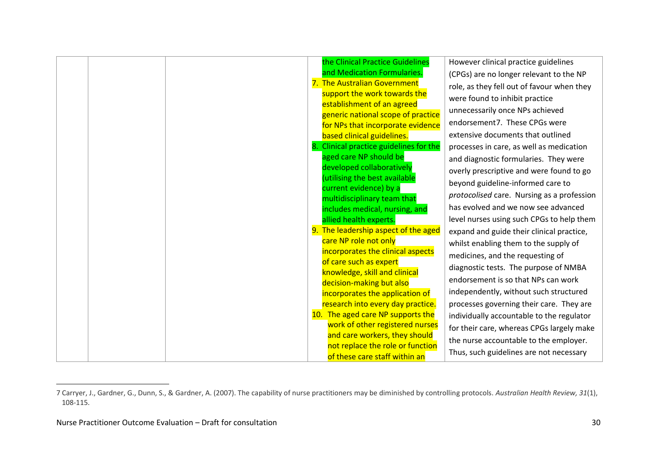|  |  | the Clinical Practice Guidelines                           | However clinical practice guidelines       |
|--|--|------------------------------------------------------------|--------------------------------------------|
|  |  | and Medication Formularies.                                | (CPGs) are no longer relevant to the NP    |
|  |  | 7. The Australian Government                               | role, as they fell out of favour when they |
|  |  | support the work towards the                               | were found to inhibit practice             |
|  |  | establishment of an agreed                                 | unnecessarily once NPs achieved            |
|  |  | generic national scope of practice                         | endorsement7. These CPGs were              |
|  |  | for NPs that incorporate evidence                          |                                            |
|  |  | based clinical guidelines.                                 | extensive documents that outlined          |
|  |  | 8. Clinical practice guidelines for the                    | processes in care, as well as medication   |
|  |  | aged care NP should be                                     | and diagnostic formularies. They were      |
|  |  | developed collaboratively<br>(utilising the best available | overly prescriptive and were found to go   |
|  |  | current evidence) by a                                     | beyond guideline-informed care to          |
|  |  | multidisciplinary team that                                | protocolised care. Nursing as a profession |
|  |  | includes medical, nursing, and                             | has evolved and we now see advanced        |
|  |  | allied health experts.                                     | level nurses using such CPGs to help them  |
|  |  | 9. The leadership aspect of the aged                       | expand and guide their clinical practice,  |
|  |  | care NP role not only                                      | whilst enabling them to the supply of      |
|  |  | incorporates the clinical aspects                          | medicines, and the requesting of           |
|  |  | of care such as expert                                     | diagnostic tests. The purpose of NMBA      |
|  |  | knowledge, skill and clinical                              |                                            |
|  |  | decision-making but also                                   | endorsement is so that NPs can work        |
|  |  | incorporates the application of                            | independently, without such structured     |
|  |  | research into every day practice.                          | processes governing their care. They are   |
|  |  | 10. The aged care NP supports the                          | individually accountable to the regulator  |
|  |  | work of other registered nurses                            | for their care, whereas CPGs largely make  |
|  |  | and care workers, they should                              | the nurse accountable to the employer.     |
|  |  | not replace the role or function                           | Thus, such guidelines are not necessary    |
|  |  | of these care staff within an                              |                                            |

<sup>7</sup> Carryer, J., Gardner, G., Dunn, S., & Gardner, A. (2007). The capability of nurse practitioners may be diminished by controlling protocols. *Australian Health Review, 31*(1), 108-115.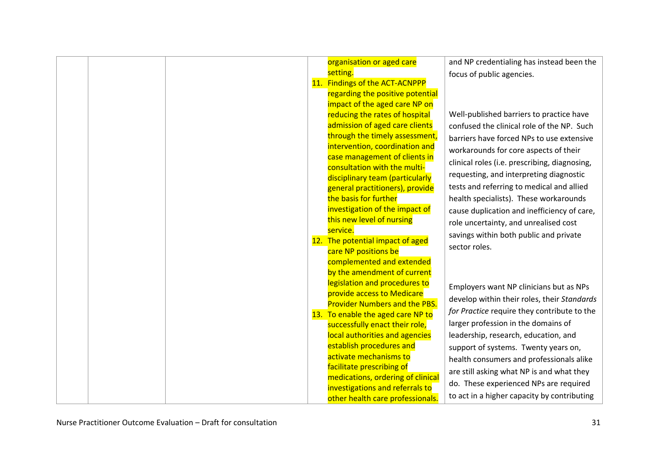| organisation or aged care<br>setting.<br>11. Findings of the ACT-ACNPPP<br>regarding the positive potential<br>impact of the aged care NP on<br>reducing the rates of hospital<br>admission of aged care clients<br>through the timely assessment,<br>intervention, coordination and<br>case management of clients in<br>consultation with the multi-<br>disciplinary team (particularly<br>general practitioners), provide<br>the basis for further<br>investigation of the impact of<br>this new level of nursing<br>service.<br>12. The potential impact of aged<br>care NP positions be<br>complemented and extended<br>by the amendment of current<br>legislation and procedures to<br>provide access to Medicare<br><b>Provider Numbers and the PBS.</b><br>13. To enable the aged care NP to<br>successfully enact their role, | and NP credentialing has instead been the<br>focus of public agencies.<br>Well-published barriers to practice have<br>confused the clinical role of the NP. Such<br>barriers have forced NPs to use extensive<br>workarounds for core aspects of their<br>clinical roles (i.e. prescribing, diagnosing,<br>requesting, and interpreting diagnostic<br>tests and referring to medical and allied<br>health specialists). These workarounds<br>cause duplication and inefficiency of care,<br>role uncertainty, and unrealised cost<br>savings within both public and private<br>sector roles.<br>Employers want NP clinicians but as NPs<br>develop within their roles, their Standards<br>for Practice require they contribute to the<br>larger profession in the domains of |
|---------------------------------------------------------------------------------------------------------------------------------------------------------------------------------------------------------------------------------------------------------------------------------------------------------------------------------------------------------------------------------------------------------------------------------------------------------------------------------------------------------------------------------------------------------------------------------------------------------------------------------------------------------------------------------------------------------------------------------------------------------------------------------------------------------------------------------------|------------------------------------------------------------------------------------------------------------------------------------------------------------------------------------------------------------------------------------------------------------------------------------------------------------------------------------------------------------------------------------------------------------------------------------------------------------------------------------------------------------------------------------------------------------------------------------------------------------------------------------------------------------------------------------------------------------------------------------------------------------------------------|
| local authorities and agencies<br>establish procedures and<br>activate mechanisms to<br>facilitate prescribing of<br>medications, ordering of clinical<br>investigations and referrals to<br>other health care professionals.                                                                                                                                                                                                                                                                                                                                                                                                                                                                                                                                                                                                         | leadership, research, education, and<br>support of systems. Twenty years on,<br>health consumers and professionals alike<br>are still asking what NP is and what they<br>do. These experienced NPs are required<br>to act in a higher capacity by contributing                                                                                                                                                                                                                                                                                                                                                                                                                                                                                                               |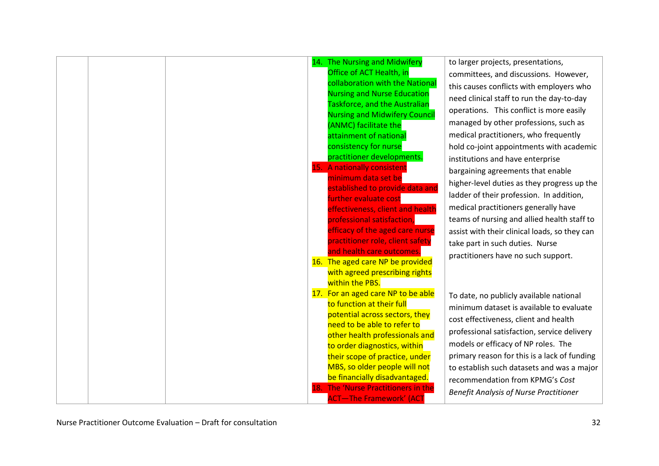|  |  | 14. The Nursing and Midwifery                                  | to larger projects, presentations,            |
|--|--|----------------------------------------------------------------|-----------------------------------------------|
|  |  | Office of ACT Health, in                                       | committees, and discussions. However,         |
|  |  | collaboration with the National                                | this causes conflicts with employers who      |
|  |  | <b>Nursing and Nurse Education</b>                             | need clinical staff to run the day-to-day     |
|  |  | Taskforce, and the Australian                                  | operations. This conflict is more easily      |
|  |  | <b>Nursing and Midwifery Council</b>                           | managed by other professions, such as         |
|  |  | (ANMC) facilitate the<br>attainment of national                | medical practitioners, who frequently         |
|  |  | consistency for nurse                                          |                                               |
|  |  | practitioner developments.                                     | hold co-joint appointments with academic      |
|  |  | 15. A nationally consistent                                    | institutions and have enterprise              |
|  |  | minimum data set be                                            | bargaining agreements that enable             |
|  |  | established to provide data and                                | higher-level duties as they progress up the   |
|  |  | further evaluate cost                                          | ladder of their profession. In addition,      |
|  |  | effectiveness, client and health                               | medical practitioners generally have          |
|  |  | professional satisfaction,                                     | teams of nursing and allied health staff to   |
|  |  | efficacy of the aged care nurse                                | assist with their clinical loads, so they can |
|  |  | practitioner role, client safety                               | take part in such duties. Nurse               |
|  |  | and health care outcomes.                                      | practitioners have no such support.           |
|  |  | 16. The aged care NP be provided                               |                                               |
|  |  | with agreed prescribing rights                                 |                                               |
|  |  | within the PBS.                                                |                                               |
|  |  | 17. For an aged care NP to be able                             | To date, no publicly available national       |
|  |  | to function at their full                                      | minimum dataset is available to evaluate      |
|  |  | potential across sectors, they                                 | cost effectiveness, client and health         |
|  |  | need to be able to refer to                                    | professional satisfaction, service delivery   |
|  |  | other health professionals and                                 | models or efficacy of NP roles. The           |
|  |  | to order diagnostics, within<br>their scope of practice, under | primary reason for this is a lack of funding  |
|  |  | MBS, so older people will not                                  | to establish such datasets and was a major    |
|  |  | be financially disadvantaged.                                  |                                               |
|  |  | 18. The 'Nurse Practitioners in the                            | recommendation from KPMG's Cost               |
|  |  | <b>ACT-The Framework' (ACT</b>                                 | <b>Benefit Analysis of Nurse Practitioner</b> |
|  |  |                                                                |                                               |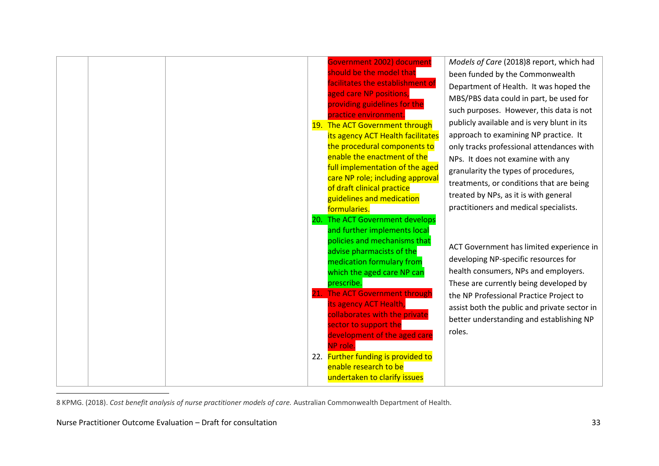|  |  | Government 2002) document<br>should be the model that<br>facilitates the establishment of<br>aged care NP positions,<br>providing guidelines for the<br>practice environment.<br>19. The ACT Government through<br>its agency ACT Health facilitates<br>the procedural components to<br>enable the enactment of the<br>full implementation of the aged<br>care NP role; including approval<br>of draft clinical practice<br>guidelines and medication<br>formularies. | Models of Care (2018)8 report, which had<br>been funded by the Commonwealth<br>Department of Health. It was hoped the<br>MBS/PBS data could in part, be used for<br>such purposes. However, this data is not<br>publicly available and is very blunt in its<br>approach to examining NP practice. It<br>only tracks professional attendances with<br>NPs. It does not examine with any<br>granularity the types of procedures,<br>treatments, or conditions that are being<br>treated by NPs, as it is with general<br>practitioners and medical specialists. |
|--|--|-----------------------------------------------------------------------------------------------------------------------------------------------------------------------------------------------------------------------------------------------------------------------------------------------------------------------------------------------------------------------------------------------------------------------------------------------------------------------|---------------------------------------------------------------------------------------------------------------------------------------------------------------------------------------------------------------------------------------------------------------------------------------------------------------------------------------------------------------------------------------------------------------------------------------------------------------------------------------------------------------------------------------------------------------|
|  |  | 20. The ACT Government develops<br>and further implements local<br>policies and mechanisms that<br>advise pharmacists of the<br>medication formulary from<br>which the aged care NP can<br>prescribe.<br>The ACT Government through<br>its agency ACT Health,<br>collaborates with the private<br>sector to support the<br>development of the aged care<br>NP role.<br>22. Further funding is provided to<br>enable research to be<br>undertaken to clarify issues    | ACT Government has limited experience in<br>developing NP-specific resources for<br>health consumers, NPs and employers.<br>These are currently being developed by<br>the NP Professional Practice Project to<br>assist both the public and private sector in<br>better understanding and establishing NP<br>roles.                                                                                                                                                                                                                                           |

8 KPMG. (2018). *Cost benefit analysis of nurse practitioner models of care.* Australian Commonwealth Department of Health.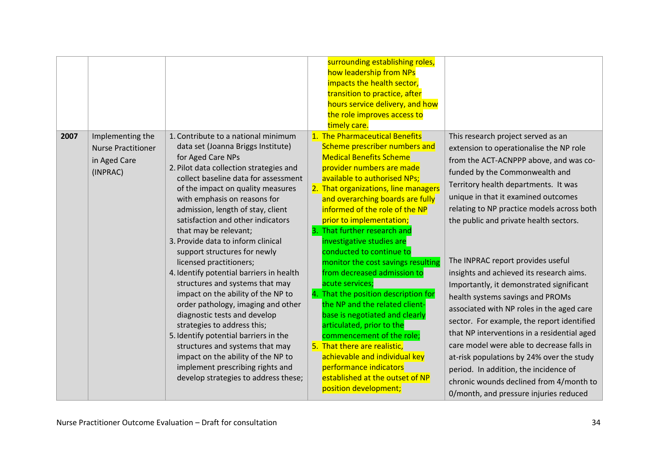|      |                                                                           |                                                                                                                                                                                                                                                                                                                                                                                                                                                                                                                                                                                                                                                                                                                                                                                                                                                                                    | surrounding establishing roles,<br>how leadership from NPs<br>impacts the health sector,<br>transition to practice, after<br>hours service delivery, and how<br>the role improves access to<br>timely care.                                                                                                                                                                                                                                                                                                                                                                                                                                                                                                                                                                                                            |                                                                                                                                                                                                                                                                                                                                                                                                                                                                                                                                                                                                                                                                                                                                                                                                                                                                     |
|------|---------------------------------------------------------------------------|------------------------------------------------------------------------------------------------------------------------------------------------------------------------------------------------------------------------------------------------------------------------------------------------------------------------------------------------------------------------------------------------------------------------------------------------------------------------------------------------------------------------------------------------------------------------------------------------------------------------------------------------------------------------------------------------------------------------------------------------------------------------------------------------------------------------------------------------------------------------------------|------------------------------------------------------------------------------------------------------------------------------------------------------------------------------------------------------------------------------------------------------------------------------------------------------------------------------------------------------------------------------------------------------------------------------------------------------------------------------------------------------------------------------------------------------------------------------------------------------------------------------------------------------------------------------------------------------------------------------------------------------------------------------------------------------------------------|---------------------------------------------------------------------------------------------------------------------------------------------------------------------------------------------------------------------------------------------------------------------------------------------------------------------------------------------------------------------------------------------------------------------------------------------------------------------------------------------------------------------------------------------------------------------------------------------------------------------------------------------------------------------------------------------------------------------------------------------------------------------------------------------------------------------------------------------------------------------|
| 2007 | Implementing the<br><b>Nurse Practitioner</b><br>in Aged Care<br>(INPRAC) | 1. Contribute to a national minimum<br>data set (Joanna Briggs Institute)<br>for Aged Care NPs<br>2. Pilot data collection strategies and<br>collect baseline data for assessment<br>of the impact on quality measures<br>with emphasis on reasons for<br>admission, length of stay, client<br>satisfaction and other indicators<br>that may be relevant;<br>3. Provide data to inform clinical<br>support structures for newly<br>licensed practitioners;<br>4. Identify potential barriers in health<br>structures and systems that may<br>impact on the ability of the NP to<br>order pathology, imaging and other<br>diagnostic tests and develop<br>strategies to address this;<br>5. Identify potential barriers in the<br>structures and systems that may<br>impact on the ability of the NP to<br>implement prescribing rights and<br>develop strategies to address these; | 1. The Pharmaceutical Benefits<br>Scheme prescriber numbers and<br><b>Medical Benefits Scheme</b><br>provider numbers are made<br>available to authorised NPs;<br>2. That organizations, line managers<br>and overarching boards are fully<br>informed of the role of the NP<br>prior to implementation;<br>3. That further research and<br>investigative studies are<br>conducted to continue to<br>monitor the cost savings resulting<br>from decreased admission to<br>acute services;<br>4. That the position description for<br>the NP and the related client-<br>base is negotiated and clearly<br>articulated, prior to the<br>commencement of the role;<br>5. That there are realistic,<br>achievable and individual key<br>performance indicators<br>established at the outset of NP<br>position development; | This research project served as an<br>extension to operationalise the NP role<br>from the ACT-ACNPPP above, and was co-<br>funded by the Commonwealth and<br>Territory health departments. It was<br>unique in that it examined outcomes<br>relating to NP practice models across both<br>the public and private health sectors.<br>The INPRAC report provides useful<br>insights and achieved its research aims.<br>Importantly, it demonstrated significant<br>health systems savings and PROMs<br>associated with NP roles in the aged care<br>sector. For example, the report identified<br>that NP interventions in a residential aged<br>care model were able to decrease falls in<br>at-risk populations by 24% over the study<br>period. In addition, the incidence of<br>chronic wounds declined from 4/month to<br>0/month, and pressure injuries reduced |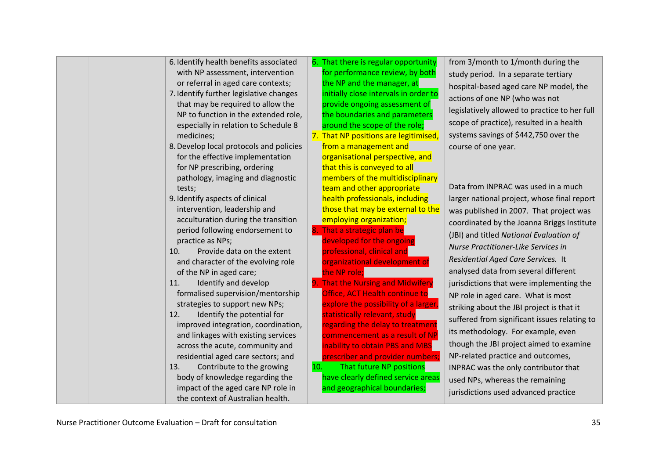| 6. That there is regular opportunity<br>6. Identify health benefits associated<br>from 3/month to 1/month during the<br>for performance review, by both<br>with NP assessment, intervention<br>study period. In a separate tertiary<br>or referral in aged care contexts;<br>the NP and the manager, at<br>hospital-based aged care NP model, the<br>initially close intervals in order to<br>7. Identify further legislative changes<br>actions of one NP (who was not<br>provide ongoing assessment of<br>that may be required to allow the<br>legislatively allowed to practice to her full<br>NP to function in the extended role,<br>the boundaries and parameters<br>scope of practice), resulted in a health<br>around the scope of the role;<br>especially in relation to Schedule 8<br>systems savings of \$442,750 over the<br>7. That NP positions are legitimised,<br>medicines;<br>8. Develop local protocols and policies<br>from a management and<br>course of one year.<br>organisational perspective, and<br>for the effective implementation<br>for NP prescribing, ordering<br>that this is conveyed to all<br>members of the multidisciplinary<br>pathology, imaging and diagnostic<br>Data from INPRAC was used in a much<br>team and other appropriate<br>tests;<br>health professionals, including<br>9. Identify aspects of clinical<br>larger national project, whose final report<br>those that may be external to the<br>intervention, leadership and<br>was published in 2007. That project was<br>acculturation during the transition<br>employing organization;<br>8. That a strategic plan be<br>period following endorsement to<br>(JBI) and titled National Evaluation of<br>developed for the ongoing<br>practice as NPs;<br>Nurse Practitioner-Like Services in<br>professional, clinical and<br>Provide data on the extent<br>10.<br>Residential Aged Care Services. It<br>and character of the evolving role<br>organizational development of<br>analysed data from several different<br>the NP role;<br>of the NP in aged care;<br>9. That the Nursing and Midwifery<br>Identify and develop<br>11.<br>jurisdictions that were implementing the<br>Office, ACT Health continue to<br>formalised supervision/mentorship<br>NP role in aged care. What is most<br>explore the possibility of a larger,<br>strategies to support new NPs;<br>striking about the JBI project is that it<br>statistically relevant, study<br>Identify the potential for<br>12.<br>suffered from significant issues relating to<br>regarding the delay to treatment<br>improved integration, coordination,<br>its methodology. For example, even<br>and linkages with existing services<br>commencement as a result of NP<br>though the JBI project aimed to examine<br>inability to obtain PBS and MBS<br>across the acute, community and<br>NP-related practice and outcomes,<br>residential aged care sectors; and<br>prescriber and provider numbers;<br>That future NP positions<br>Contribute to the growing<br>10.<br>13.<br>INPRAC was the only contributor that<br>have clearly defined service areas<br>body of knowledge regarding the<br>used NPs, whereas the remaining<br>impact of the aged care NP role in<br>and geographical boundaries;<br>jurisdictions used advanced practice |  |                                   |  |                                            |
|--------------------------------------------------------------------------------------------------------------------------------------------------------------------------------------------------------------------------------------------------------------------------------------------------------------------------------------------------------------------------------------------------------------------------------------------------------------------------------------------------------------------------------------------------------------------------------------------------------------------------------------------------------------------------------------------------------------------------------------------------------------------------------------------------------------------------------------------------------------------------------------------------------------------------------------------------------------------------------------------------------------------------------------------------------------------------------------------------------------------------------------------------------------------------------------------------------------------------------------------------------------------------------------------------------------------------------------------------------------------------------------------------------------------------------------------------------------------------------------------------------------------------------------------------------------------------------------------------------------------------------------------------------------------------------------------------------------------------------------------------------------------------------------------------------------------------------------------------------------------------------------------------------------------------------------------------------------------------------------------------------------------------------------------------------------------------------------------------------------------------------------------------------------------------------------------------------------------------------------------------------------------------------------------------------------------------------------------------------------------------------------------------------------------------------------------------------------------------------------------------------------------------------------------------------------------------------------------------------------------------------------------------------------------------------------------------------------------------------------------------------------------------------------------------------------------------------------------------------------------------------------------------------------------------------------------------------------------------------------------------------------------------------------------------------------------------------------------------------------------------------------------------------------------------------------------------------------------------------------------------------------------------------------------------------------------|--|-----------------------------------|--|--------------------------------------------|
|                                                                                                                                                                                                                                                                                                                                                                                                                                                                                                                                                                                                                                                                                                                                                                                                                                                                                                                                                                                                                                                                                                                                                                                                                                                                                                                                                                                                                                                                                                                                                                                                                                                                                                                                                                                                                                                                                                                                                                                                                                                                                                                                                                                                                                                                                                                                                                                                                                                                                                                                                                                                                                                                                                                                                                                                                                                                                                                                                                                                                                                                                                                                                                                                                                                                                                                    |  |                                   |  | coordinated by the Joanna Briggs Institute |
|                                                                                                                                                                                                                                                                                                                                                                                                                                                                                                                                                                                                                                                                                                                                                                                                                                                                                                                                                                                                                                                                                                                                                                                                                                                                                                                                                                                                                                                                                                                                                                                                                                                                                                                                                                                                                                                                                                                                                                                                                                                                                                                                                                                                                                                                                                                                                                                                                                                                                                                                                                                                                                                                                                                                                                                                                                                                                                                                                                                                                                                                                                                                                                                                                                                                                                                    |  | the context of Australian health. |  |                                            |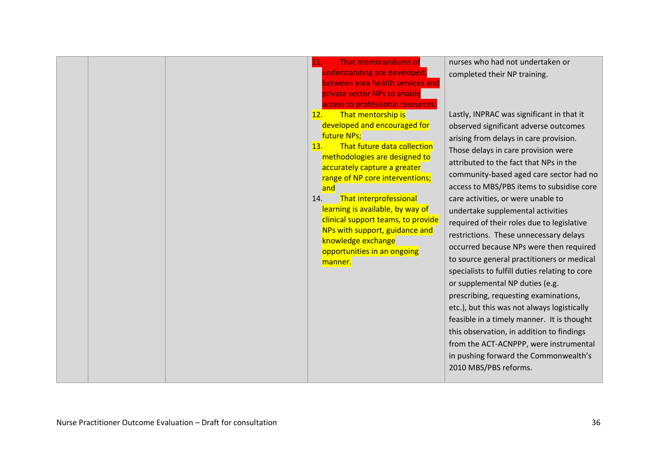|  | That memorandums of<br>11.<br>understanding are developed,<br>between area health services and<br>private sector NPs to enable<br>access to professional resources;<br>That mentorship is<br>12.<br>developed and encouraged for<br>future NPs;<br>That future data collection<br>13.<br>methodologies are designed to<br>accurately capture a greater<br>range of NP core interventions;<br>and<br><b>That interprofessional</b><br>14.<br>learning is available, by way of<br>clinical support teams, to provide<br>NPs with support, guidance and<br>knowledge exchange<br>opportunities in an ongoing<br>manner. | nurses who had not undertaken or<br>completed their NP training.<br>Lastly, INPRAC was significant in that it<br>observed significant adverse outcomes<br>arising from delays in care provision.<br>Those delays in care provision were<br>attributed to the fact that NPs in the<br>community-based aged care sector had no<br>access to MBS/PBS items to subsidise core<br>care activities, or were unable to<br>undertake supplemental activities<br>required of their roles due to legislative<br>restrictions. These unnecessary delays<br>occurred because NPs were then required<br>to source general practitioners or medical<br>specialists to fulfill duties relating to core<br>or supplemental NP duties (e.g.<br>prescribing, requesting examinations,<br>etc.), but this was not always logistically<br>feasible in a timely manner. It is thought<br>this observation, in addition to findings<br>from the ACT-ACNPPP, were instrumental<br>in pushing forward the Commonwealth's<br>2010 MBS/PBS reforms. |
|--|----------------------------------------------------------------------------------------------------------------------------------------------------------------------------------------------------------------------------------------------------------------------------------------------------------------------------------------------------------------------------------------------------------------------------------------------------------------------------------------------------------------------------------------------------------------------------------------------------------------------|---------------------------------------------------------------------------------------------------------------------------------------------------------------------------------------------------------------------------------------------------------------------------------------------------------------------------------------------------------------------------------------------------------------------------------------------------------------------------------------------------------------------------------------------------------------------------------------------------------------------------------------------------------------------------------------------------------------------------------------------------------------------------------------------------------------------------------------------------------------------------------------------------------------------------------------------------------------------------------------------------------------------------|
|--|----------------------------------------------------------------------------------------------------------------------------------------------------------------------------------------------------------------------------------------------------------------------------------------------------------------------------------------------------------------------------------------------------------------------------------------------------------------------------------------------------------------------------------------------------------------------------------------------------------------------|---------------------------------------------------------------------------------------------------------------------------------------------------------------------------------------------------------------------------------------------------------------------------------------------------------------------------------------------------------------------------------------------------------------------------------------------------------------------------------------------------------------------------------------------------------------------------------------------------------------------------------------------------------------------------------------------------------------------------------------------------------------------------------------------------------------------------------------------------------------------------------------------------------------------------------------------------------------------------------------------------------------------------|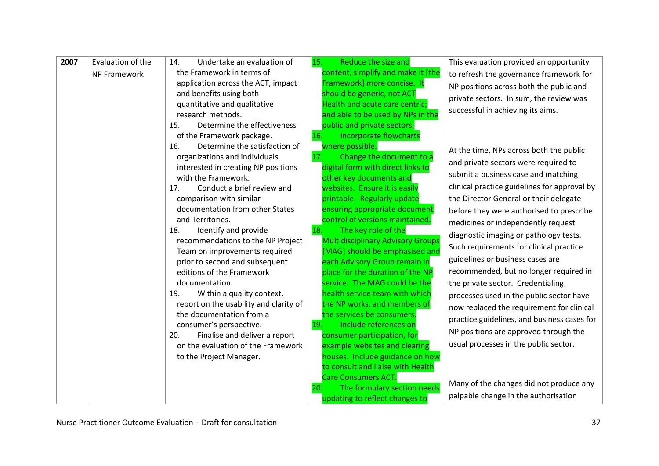| 2007 | Evaluation of the   | Undertake an evaluation of<br>14.                                  | 15.<br>Reduce the size and                                      | This evaluation provided an opportunity      |
|------|---------------------|--------------------------------------------------------------------|-----------------------------------------------------------------|----------------------------------------------|
|      | <b>NP Framework</b> | the Framework in terms of                                          | content, simplify and make it [the                              | to refresh the governance framework for      |
|      |                     | application across the ACT, impact                                 | Framework] more concise. It                                     | NP positions across both the public and      |
|      |                     | and benefits using both                                            | should be generic, not ACT                                      | private sectors. In sum, the review was      |
|      |                     | quantitative and qualitative                                       | Health and acute care centric;                                  |                                              |
|      |                     | research methods.                                                  | and able to be used by NPs in the                               | successful in achieving its aims.            |
|      |                     | Determine the effectiveness<br>15.                                 | public and private sectors.                                     |                                              |
|      |                     | of the Framework package.                                          | <b>Incorporate flowcharts</b><br>16.                            |                                              |
|      |                     | Determine the satisfaction of<br>16.                               | where possible.                                                 | At the time, NPs across both the public      |
|      |                     | organizations and individuals                                      | Change the document to a<br>17.                                 | and private sectors were required to         |
|      |                     | interested in creating NP positions                                | digital form with direct links to                               |                                              |
|      |                     | with the Framework.                                                | other key documents and                                         | submit a business case and matching          |
|      |                     | Conduct a brief review and<br>17.                                  | websites. Ensure it is easily                                   | clinical practice guidelines for approval by |
|      |                     | comparison with similar                                            | printable. Regularly update                                     | the Director General or their delegate       |
|      |                     | documentation from other States                                    | ensuring appropriate document                                   | before they were authorised to prescribe     |
|      |                     | and Territories.                                                   | control of versions maintained.                                 | medicines or independently request           |
|      |                     | Identify and provide<br>18.                                        | 18.<br>The key role of the                                      | diagnostic imaging or pathology tests.       |
|      |                     | recommendations to the NP Project                                  | <b>Multidisciplinary Advisory Groups</b>                        | Such requirements for clinical practice      |
|      |                     | Team on improvements required                                      | [MAG] should be emphasised and                                  | guidelines or business cases are             |
|      |                     | prior to second and subsequent                                     | each Advisory Group remain in                                   | recommended, but no longer required in       |
|      |                     | editions of the Framework                                          | place for the duration of the NP                                |                                              |
|      |                     | documentation.                                                     | service. The MAG could be the<br>health service team with which | the private sector. Credentialing            |
|      |                     | Within a quality context,<br>19.                                   |                                                                 | processes used in the public sector have     |
|      |                     | report on the usability and clarity of<br>the documentation from a | the NP works, and members of<br>the services be consumers.      | now replaced the requirement for clinical    |
|      |                     | consumer's perspective.                                            | Include references on<br>19.                                    | practice guidelines, and business cases for  |
|      |                     | Finalise and deliver a report<br>20.                               | consumer participation, for                                     | NP positions are approved through the        |
|      |                     | on the evaluation of the Framework                                 | example websites and clearing                                   | usual processes in the public sector.        |
|      |                     | to the Project Manager.                                            | houses. Include guidance on how                                 |                                              |
|      |                     |                                                                    | to consult and liaise with Health                               |                                              |
|      |                     |                                                                    | <b>Care Consumers ACT.</b>                                      |                                              |
|      |                     |                                                                    | The formulary section needs<br>20.                              | Many of the changes did not produce any      |
|      |                     |                                                                    | updating to reflect changes to                                  | palpable change in the authorisation         |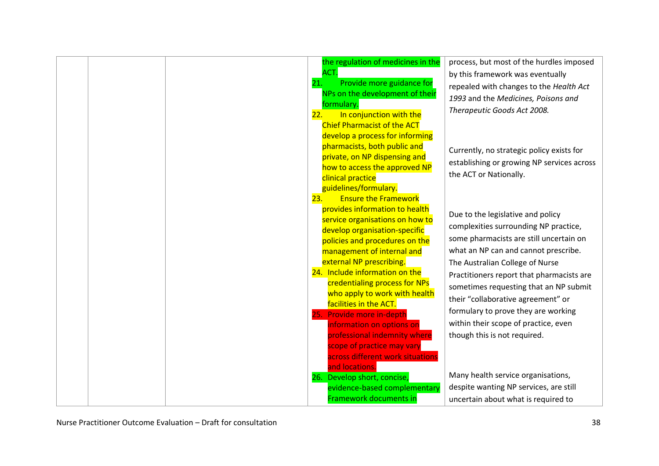| 21.<br>22. | the regulation of medicines in the<br>ACT.<br>Provide more guidance for<br>NPs on the development of their<br>formulary<br>In conjunction with the<br><b>Chief Pharmacist of the ACT</b><br>develop a process for informing<br>pharmacists, both public and<br>private, on NP dispensing and<br>how to access the approved NP<br>clinical practice<br>guidelines/formulary.                                                                                                                                                                                                                                                        | process, but most of the hurdles imposed<br>by this framework was eventually<br>repealed with changes to the Health Act<br>1993 and the Medicines, Poisons and<br>Therapeutic Goods Act 2008.<br>Currently, no strategic policy exists for<br>establishing or growing NP services across<br>the ACT or Nationally.                                                                                                                                                                                                                                                  |
|------------|------------------------------------------------------------------------------------------------------------------------------------------------------------------------------------------------------------------------------------------------------------------------------------------------------------------------------------------------------------------------------------------------------------------------------------------------------------------------------------------------------------------------------------------------------------------------------------------------------------------------------------|---------------------------------------------------------------------------------------------------------------------------------------------------------------------------------------------------------------------------------------------------------------------------------------------------------------------------------------------------------------------------------------------------------------------------------------------------------------------------------------------------------------------------------------------------------------------|
| 23.        | <b>Ensure the Framework</b><br>provides information to health<br>service organisations on how to<br>develop organisation-specific<br>policies and procedures on the<br>management of internal and<br>external NP prescribing.<br>24. Include information on the<br>credentialing process for NPs<br>who apply to work with health<br>facilities in the ACT.<br>25. Provide more in-depth<br>information on options on<br>professional indemnity where<br>scope of practice may vary<br>across different work situations<br>and locations.<br>26. Develop short, concise,<br>evidence-based complementary<br>Framework documents in | Due to the legislative and policy<br>complexities surrounding NP practice,<br>some pharmacists are still uncertain on<br>what an NP can and cannot prescribe.<br>The Australian College of Nurse<br>Practitioners report that pharmacists are<br>sometimes requesting that an NP submit<br>their "collaborative agreement" or<br>formulary to prove they are working<br>within their scope of practice, even<br>though this is not required.<br>Many health service organisations,<br>despite wanting NP services, are still<br>uncertain about what is required to |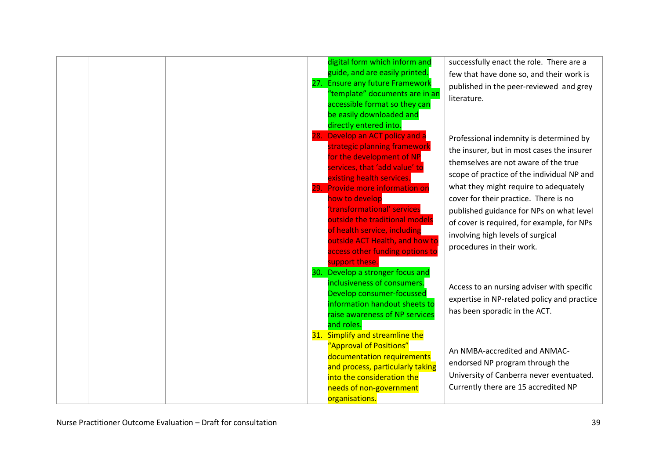|  | 28. | digital form which inform and<br>guide, and are easily printed.<br>27. Ensure any future Framework<br>"template" documents are in an<br>accessible format so they can<br>be easily downloaded and<br>directly entered into.<br>Develop an ACT policy and a<br>strategic planning framework<br>for the development of NP<br>services, that 'add value' to<br>existing health services.<br>29. Provide more information on<br>how to develop<br>'transformational' services<br>outside the traditional models<br>of health service, including<br>outside ACT Health, and how to<br>access other funding options to | successfully enact the role. There are a<br>few that have done so, and their work is<br>published in the peer-reviewed and grey<br>literature.<br>Professional indemnity is determined by<br>the insurer, but in most cases the insurer<br>themselves are not aware of the true<br>scope of practice of the individual NP and<br>what they might require to adequately<br>cover for their practice. There is no<br>published guidance for NPs on what level<br>of cover is required, for example, for NPs<br>involving high levels of surgical<br>procedures in their work. |
|--|-----|------------------------------------------------------------------------------------------------------------------------------------------------------------------------------------------------------------------------------------------------------------------------------------------------------------------------------------------------------------------------------------------------------------------------------------------------------------------------------------------------------------------------------------------------------------------------------------------------------------------|-----------------------------------------------------------------------------------------------------------------------------------------------------------------------------------------------------------------------------------------------------------------------------------------------------------------------------------------------------------------------------------------------------------------------------------------------------------------------------------------------------------------------------------------------------------------------------|
|  |     | support these.<br>30. Develop a stronger focus and<br>inclusiveness of consumers.<br>Develop consumer-focussed<br>information handout sheets to<br>raise awareness of NP services<br>and roles.<br>31. Simplify and streamline the                                                                                                                                                                                                                                                                                                                                                                               | Access to an nursing adviser with specific<br>expertise in NP-related policy and practice<br>has been sporadic in the ACT.                                                                                                                                                                                                                                                                                                                                                                                                                                                  |
|  |     | "Approval of Positions"<br>documentation requirements<br>and process, particularly taking<br>into the consideration the<br>needs of non-government<br>organisations.                                                                                                                                                                                                                                                                                                                                                                                                                                             | An NMBA-accredited and ANMAC-<br>endorsed NP program through the<br>University of Canberra never eventuated.<br>Currently there are 15 accredited NP                                                                                                                                                                                                                                                                                                                                                                                                                        |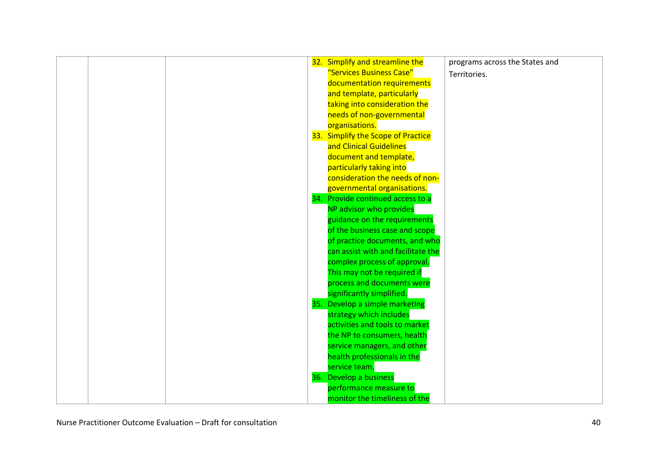|  |  | 32. Simplify and streamline the    | programs across the States and |
|--|--|------------------------------------|--------------------------------|
|  |  | "Services Business Case"           | Territories.                   |
|  |  | documentation requirements         |                                |
|  |  | and template, particularly         |                                |
|  |  | taking into consideration the      |                                |
|  |  | needs of non-governmental          |                                |
|  |  | organisations.                     |                                |
|  |  | 33. Simplify the Scope of Practice |                                |
|  |  | and Clinical Guidelines            |                                |
|  |  | document and template,             |                                |
|  |  | particularly taking into           |                                |
|  |  | consideration the needs of non-    |                                |
|  |  | governmental organisations.        |                                |
|  |  | 34. Provide continued access to a  |                                |
|  |  | NP advisor who provides            |                                |
|  |  | guidance on the requirements       |                                |
|  |  | of the business case and scope     |                                |
|  |  | of practice documents, and who     |                                |
|  |  | can assist with and facilitate the |                                |
|  |  | complex process of approval.       |                                |
|  |  | This may not be required if        |                                |
|  |  | process and documents were         |                                |
|  |  | significantly simplified.          |                                |
|  |  | 35. Develop a simple marketing     |                                |
|  |  | strategy which includes            |                                |
|  |  | activities and tools to market     |                                |
|  |  | the NP to consumers, health        |                                |
|  |  | service managers, and other        |                                |
|  |  | health professionals in the        |                                |
|  |  | service team.                      |                                |
|  |  | 36. Develop a business             |                                |
|  |  | performance measure to             |                                |
|  |  | monitor the timeliness of the      |                                |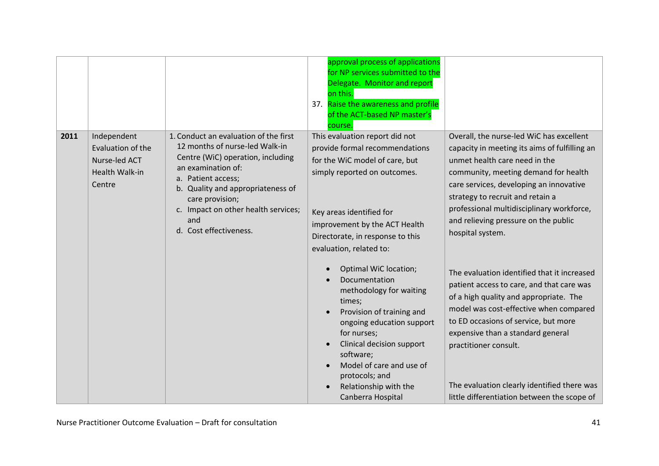|      |                                                                               |                                                                                                                                                                                                                                                                                          | approval process of applications<br>for NP services submitted to the<br>Delegate. Monitor and report<br>on this.<br>37. Raise the awareness and profile<br>of the ACT-based NP master's<br>course.                                                                                         |                                                                                                                                                                                                                                                                                                                                                                                  |
|------|-------------------------------------------------------------------------------|------------------------------------------------------------------------------------------------------------------------------------------------------------------------------------------------------------------------------------------------------------------------------------------|--------------------------------------------------------------------------------------------------------------------------------------------------------------------------------------------------------------------------------------------------------------------------------------------|----------------------------------------------------------------------------------------------------------------------------------------------------------------------------------------------------------------------------------------------------------------------------------------------------------------------------------------------------------------------------------|
| 2011 | Independent<br>Evaluation of the<br>Nurse-led ACT<br>Health Walk-in<br>Centre | 1. Conduct an evaluation of the first<br>12 months of nurse-led Walk-in<br>Centre (WiC) operation, including<br>an examination of:<br>a. Patient access;<br>b. Quality and appropriateness of<br>care provision;<br>c. Impact on other health services;<br>and<br>d. Cost effectiveness. | This evaluation report did not<br>provide formal recommendations<br>for the WiC model of care, but<br>simply reported on outcomes.<br>Key areas identified for<br>improvement by the ACT Health<br>Directorate, in response to this<br>evaluation, related to:                             | Overall, the nurse-led WiC has excellent<br>capacity in meeting its aims of fulfilling an<br>unmet health care need in the<br>community, meeting demand for health<br>care services, developing an innovative<br>strategy to recruit and retain a<br>professional multidisciplinary workforce,<br>and relieving pressure on the public<br>hospital system.                       |
|      |                                                                               |                                                                                                                                                                                                                                                                                          | Optimal WiC location;<br>Documentation<br>methodology for waiting<br>times;<br>Provision of training and<br>ongoing education support<br>for nurses;<br>Clinical decision support<br>software;<br>Model of care and use of<br>protocols; and<br>Relationship with the<br>Canberra Hospital | The evaluation identified that it increased<br>patient access to care, and that care was<br>of a high quality and appropriate. The<br>model was cost-effective when compared<br>to ED occasions of service, but more<br>expensive than a standard general<br>practitioner consult.<br>The evaluation clearly identified there was<br>little differentiation between the scope of |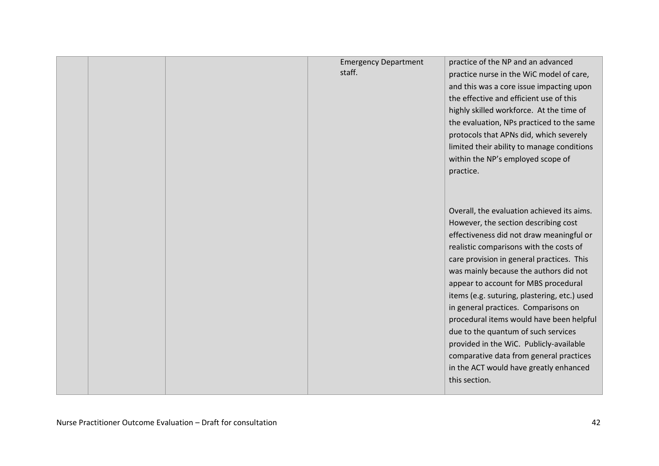|  | <b>Emergency Department</b><br>staff. | practice of the NP and an advanced<br>practice nurse in the WiC model of care,<br>and this was a core issue impacting upon<br>the effective and efficient use of this<br>highly skilled workforce. At the time of<br>the evaluation, NPs practiced to the same<br>protocols that APNs did, which severely<br>limited their ability to manage conditions<br>within the NP's employed scope of<br>practice.                                                                                                                                                                                                                            |
|--|---------------------------------------|--------------------------------------------------------------------------------------------------------------------------------------------------------------------------------------------------------------------------------------------------------------------------------------------------------------------------------------------------------------------------------------------------------------------------------------------------------------------------------------------------------------------------------------------------------------------------------------------------------------------------------------|
|  |                                       | Overall, the evaluation achieved its aims.<br>However, the section describing cost<br>effectiveness did not draw meaningful or<br>realistic comparisons with the costs of<br>care provision in general practices. This<br>was mainly because the authors did not<br>appear to account for MBS procedural<br>items (e.g. suturing, plastering, etc.) used<br>in general practices. Comparisons on<br>procedural items would have been helpful<br>due to the quantum of such services<br>provided in the WiC. Publicly-available<br>comparative data from general practices<br>in the ACT would have greatly enhanced<br>this section. |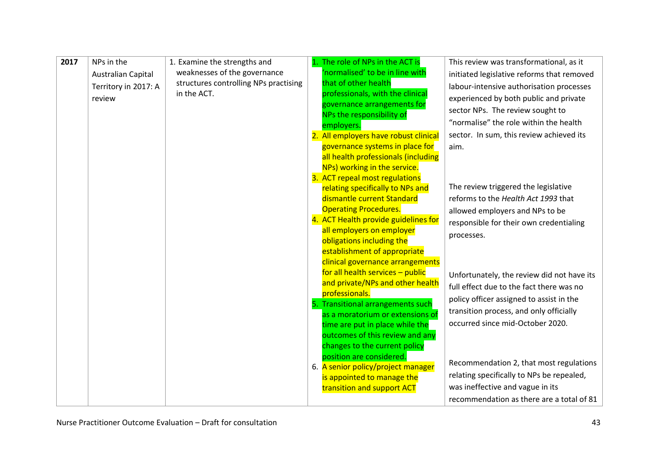| 2017 | NPs in the                                 | 1. Examine the strengths and                                          | 1. The role of NPs in the ACT is                                     | This review was transformational, as it                                                |
|------|--------------------------------------------|-----------------------------------------------------------------------|----------------------------------------------------------------------|----------------------------------------------------------------------------------------|
|      | Australian Capital<br>Territory in 2017: A | weaknesses of the governance<br>structures controlling NPs practising | 'normalised' to be in line with<br>that of other health              | initiated legislative reforms that removed<br>labour-intensive authorisation processes |
|      | review                                     | in the ACT.                                                           | professionals, with the clinical                                     | experienced by both public and private                                                 |
|      |                                            |                                                                       | governance arrangements for                                          | sector NPs. The review sought to                                                       |
|      |                                            |                                                                       | NPs the responsibility of<br>employers.                              | "normalise" the role within the health                                                 |
|      |                                            |                                                                       | 2. All employers have robust clinical                                | sector. In sum, this review achieved its                                               |
|      |                                            |                                                                       | governance systems in place for                                      | aim.                                                                                   |
|      |                                            |                                                                       | all health professionals (including<br>NPs) working in the service.  |                                                                                        |
|      |                                            |                                                                       | 3. ACT repeal most regulations                                       |                                                                                        |
|      |                                            |                                                                       | relating specifically to NPs and                                     | The review triggered the legislative                                                   |
|      |                                            |                                                                       | dismantle current Standard                                           | reforms to the Health Act 1993 that                                                    |
|      |                                            |                                                                       | <b>Operating Procedures.</b><br>4. ACT Health provide guidelines for | allowed employers and NPs to be                                                        |
|      |                                            |                                                                       | all employers on employer                                            | responsible for their own credentialing                                                |
|      |                                            |                                                                       | obligations including the                                            | processes.                                                                             |
|      |                                            |                                                                       | establishment of appropriate                                         |                                                                                        |
|      |                                            |                                                                       | clinical governance arrangements<br>for all health services - public |                                                                                        |
|      |                                            |                                                                       | and private/NPs and other health                                     | Unfortunately, the review did not have its<br>full effect due to the fact there was no |
|      |                                            |                                                                       | professionals.                                                       | policy officer assigned to assist in the                                               |
|      |                                            |                                                                       | 5. Transitional arrangements such                                    | transition process, and only officially                                                |
|      |                                            |                                                                       | as a moratorium or extensions of<br>time are put in place while the  | occurred since mid-October 2020.                                                       |
|      |                                            |                                                                       | outcomes of this review and any                                      |                                                                                        |
|      |                                            |                                                                       | changes to the current policy                                        |                                                                                        |
|      |                                            |                                                                       | position are considered.                                             | Recommendation 2, that most regulations                                                |
|      |                                            |                                                                       | 6. A senior policy/project manager<br>is appointed to manage the     | relating specifically to NPs be repealed,                                              |
|      |                                            |                                                                       | transition and support ACT                                           | was ineffective and vague in its                                                       |
|      |                                            |                                                                       |                                                                      | recommendation as there are a total of 81                                              |